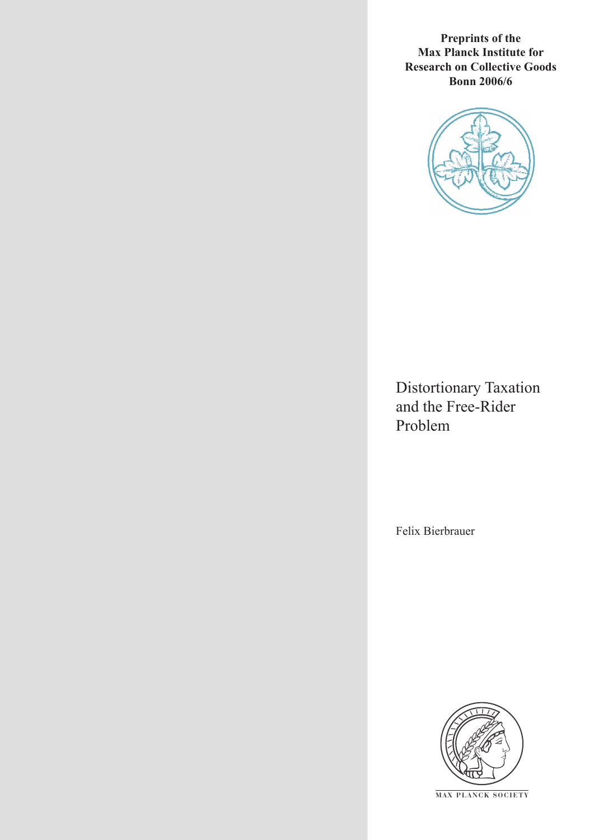**Preprints of the Max Planck Institute for Research on Collective Goods Bonn 2006/6**



Distortionary Taxation and the Free-Rider Problem

Felix Bierbrauer



**M AX P L A N C K S O C I E T Y**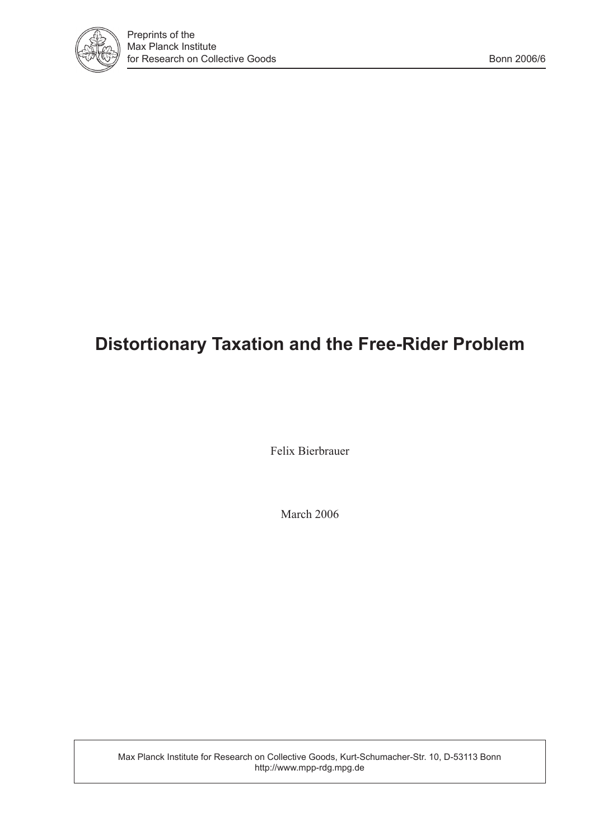

# **Distortionary Taxation and the Free-Rider Problem**

Felix Bierbrauer

March 2006

Max Planck Institute for Research on Collective Goods, Kurt-Schumacher-Str. 10, D-53113 Bonn http://www.mpp-rdg.mpg.de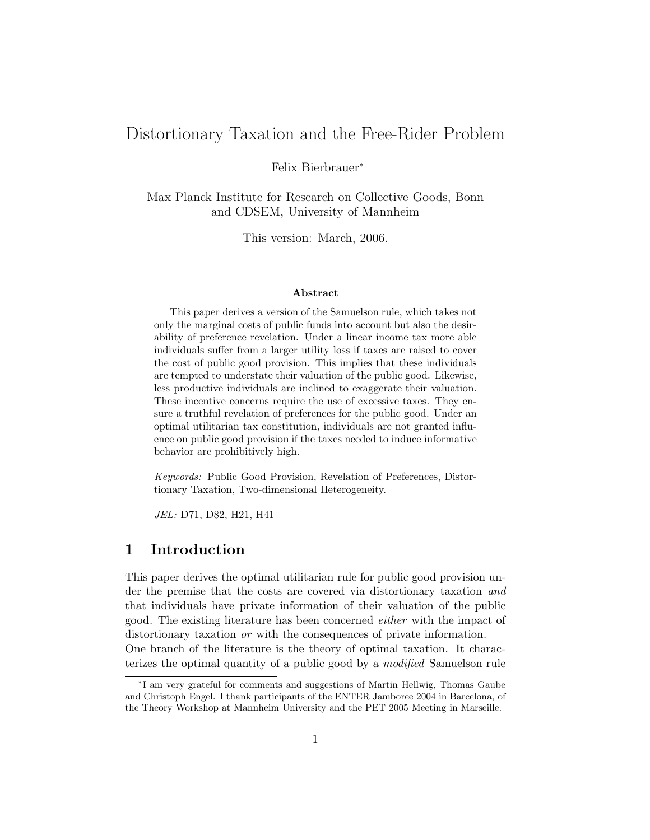# Distortionary Taxation and the Free-Rider Problem

Felix Bierbrauer<sup>∗</sup>

Max Planck Institute for Research on Collective Goods, Bonn and CDSEM, University of Mannheim

This version: March, 2006.

#### Abstract

This paper derives a version of the Samuelson rule, which takes not only the marginal costs of public funds into account but also the desirability of preference revelation. Under a linear income tax more able individuals suffer from a larger utility loss if taxes are raised to cover the cost of public good provision. This implies that these individuals are tempted to understate their valuation of the public good. Likewise, less productive individuals are inclined to exaggerate their valuation. These incentive concerns require the use of excessive taxes. They ensure a truthful revelation of preferences for the public good. Under an optimal utilitarian tax constitution, individuals are not granted influence on public good provision if the taxes needed to induce informative behavior are prohibitively high.

Keywords: Public Good Provision, Revelation of Preferences, Distortionary Taxation, Two-dimensional Heterogeneity.

JEL: D71, D82, H21, H41

## 1 Introduction

This paper derives the optimal utilitarian rule for public good provision under the premise that the costs are covered via distortionary taxation and that individuals have private information of their valuation of the public good. The existing literature has been concerned either with the impact of distortionary taxation *or* with the consequences of private information. One branch of the literature is the theory of optimal taxation. It charac-

terizes the optimal quantity of a public good by a modified Samuelson rule

<sup>∗</sup> I am very grateful for comments and suggestions of Martin Hellwig, Thomas Gaube and Christoph Engel. I thank participants of the ENTER Jamboree 2004 in Barcelona, of the Theory Workshop at Mannheim University and the PET 2005 Meeting in Marseille.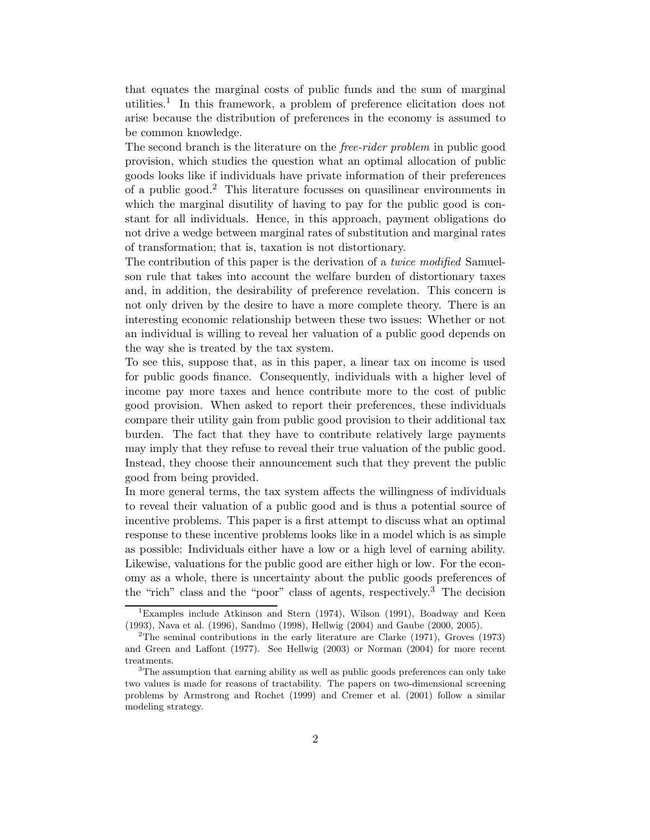that equates the marginal costs of public funds and the sum of marginal utilities.<sup>1</sup> In this framework, a problem of preference elicitation does not arise because the distribution of preferences in the economy is assumed to be common knowledge.

The second branch is the literature on the *free-rider problem* in public good provision, which studies the question what an optimal allocation of public goods looks like if individuals have private information of their preferences of a public good.<sup>2</sup> This literature focusses on quasilinear environments in which the marginal disutility of having to pay for the public good is constant for all individuals. Hence, in this approach, payment obligations do not drive a wedge between marginal rates of substitution and marginal rates of transformation; that is, taxation is not distortionary.

The contribution of this paper is the derivation of a *twice modified* Samuelson rule that takes into account the welfare burden of distortionary taxes and, in addition, the desirability of preference revelation. This concern is not only driven by the desire to have a more complete theory. There is an interesting economic relationship between these two issues: Whether or not an individual is willing to reveal her valuation of a public good depends on the way she is treated by the tax system.

To see this, suppose that, as in this paper, a linear tax on income is used for public goods finance. Consequently, individuals with a higher level of income pay more taxes and hence contribute more to the cost of public good provision. When asked to report their preferences, these individuals compare their utility gain from public good provision to their additional tax burden. The fact that they have to contribute relatively large payments may imply that they refuse to reveal their true valuation of the public good. Instead, they choose their announcement such that they prevent the public good from being provided.

In more general terms, the tax system affects the willingness of individuals to reveal their valuation of a public good and is thus a potential source of incentive problems. This paper is a first attempt to discuss what an optimal response to these incentive problems looks like in a model which is as simple as possible: Individuals either have a low or a high level of earning ability. Likewise, valuations for the public good are either high or low. For the economy as a whole, there is uncertainty about the public goods preferences of the "rich" class and the "poor" class of agents, respectively.<sup>3</sup> The decision

<sup>&</sup>lt;sup>1</sup>Examples include Atkinson and Stern (1974), Wilson (1991), Boadway and Keen (1993), Nava et al. (1996), Sandmo (1998), Hellwig (2004) and Gaube (2000, 2005).

<sup>&</sup>lt;sup>2</sup>The seminal contributions in the early literature are Clarke  $(1971)$ , Groves  $(1973)$ and Green and Laffont (1977). See Hellwig (2003) or Norman (2004) for more recent treatments.

<sup>&</sup>lt;sup>3</sup>The assumption that earning ability as well as public goods preferences can only take two values is made for reasons of tractability. The papers on two-dimensional screening problems by Armstrong and Rochet (1999) and Cremer et al. (2001) follow a similar modeling strategy.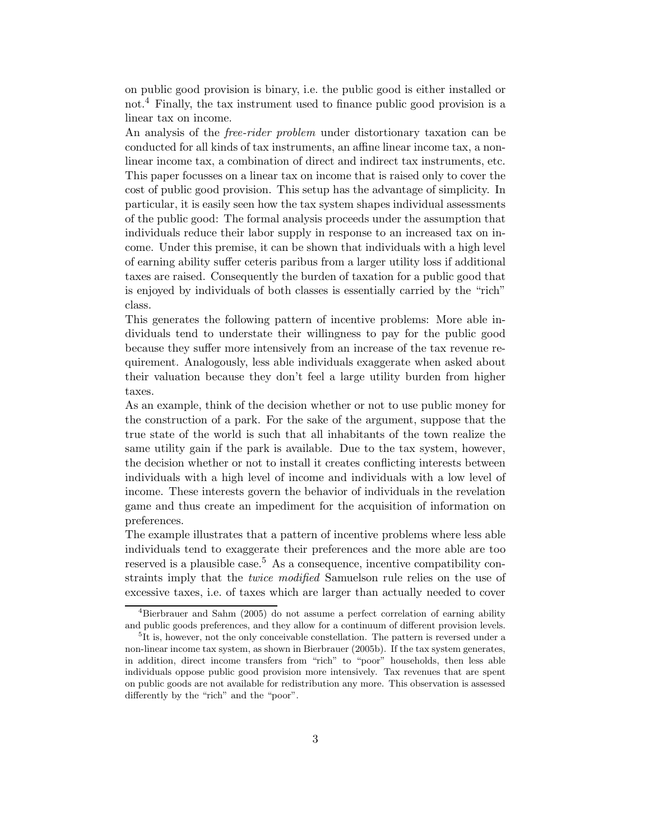on public good provision is binary, i.e. the public good is either installed or not.<sup>4</sup> Finally, the tax instrument used to finance public good provision is a linear tax on income.

An analysis of the *free-rider problem* under distortionary taxation can be conducted for all kinds of tax instruments, an affine linear income tax, a nonlinear income tax, a combination of direct and indirect tax instruments, etc. This paper focusses on a linear tax on income that is raised only to cover the cost of public good provision. This setup has the advantage of simplicity. In particular, it is easily seen how the tax system shapes individual assessments of the public good: The formal analysis proceeds under the assumption that individuals reduce their labor supply in response to an increased tax on income. Under this premise, it can be shown that individuals with a high level of earning ability suffer ceteris paribus from a larger utility loss if additional taxes are raised. Consequently the burden of taxation for a public good that is enjoyed by individuals of both classes is essentially carried by the "rich" class.

This generates the following pattern of incentive problems: More able individuals tend to understate their willingness to pay for the public good because they suffer more intensively from an increase of the tax revenue requirement. Analogously, less able individuals exaggerate when asked about their valuation because they don't feel a large utility burden from higher taxes.

As an example, think of the decision whether or not to use public money for the construction of a park. For the sake of the argument, suppose that the true state of the world is such that all inhabitants of the town realize the same utility gain if the park is available. Due to the tax system, however, the decision whether or not to install it creates conflicting interests between individuals with a high level of income and individuals with a low level of income. These interests govern the behavior of individuals in the revelation game and thus create an impediment for the acquisition of information on preferences.

The example illustrates that a pattern of incentive problems where less able individuals tend to exaggerate their preferences and the more able are too reserved is a plausible case.<sup>5</sup> As a consequence, incentive compatibility constraints imply that the twice modified Samuelson rule relies on the use of excessive taxes, i.e. of taxes which are larger than actually needed to cover

<sup>&</sup>lt;sup>4</sup>Bierbrauer and Sahm (2005) do not assume a perfect correlation of earning ability and public goods preferences, and they allow for a continuum of different provision levels.

<sup>&</sup>lt;sup>5</sup>It is, however, not the only conceivable constellation. The pattern is reversed under a non-linear income tax system, as shown in Bierbrauer (2005b). If the tax system generates, in addition, direct income transfers from "rich" to "poor" households, then less able individuals oppose public good provision more intensively. Tax revenues that are spent on public goods are not available for redistribution any more. This observation is assessed differently by the "rich" and the "poor".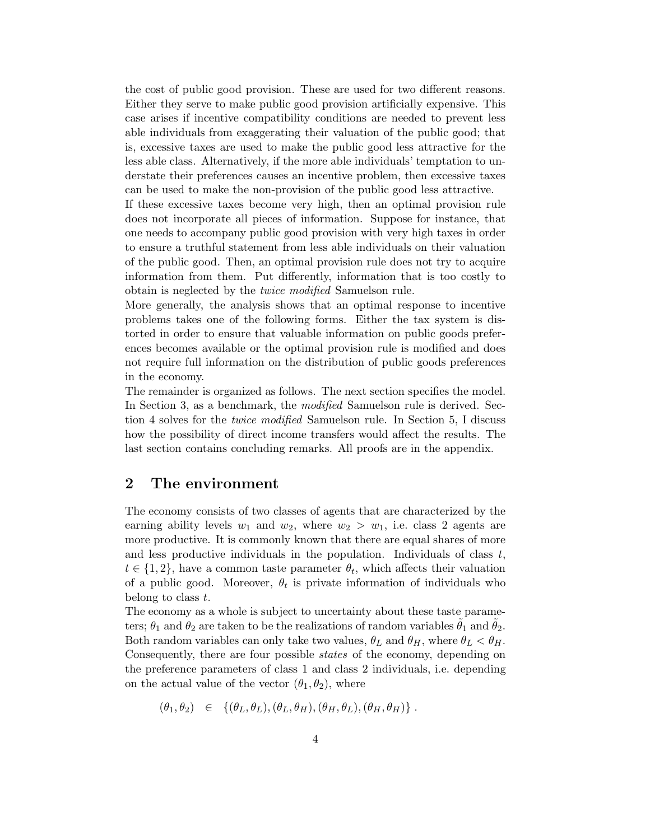the cost of public good provision. These are used for two different reasons. Either they serve to make public good provision artificially expensive. This case arises if incentive compatibility conditions are needed to prevent less able individuals from exaggerating their valuation of the public good; that is, excessive taxes are used to make the public good less attractive for the less able class. Alternatively, if the more able individuals' temptation to understate their preferences causes an incentive problem, then excessive taxes can be used to make the non-provision of the public good less attractive.

If these excessive taxes become very high, then an optimal provision rule does not incorporate all pieces of information. Suppose for instance, that one needs to accompany public good provision with very high taxes in order to ensure a truthful statement from less able individuals on their valuation of the public good. Then, an optimal provision rule does not try to acquire information from them. Put differently, information that is too costly to obtain is neglected by the twice modified Samuelson rule.

More generally, the analysis shows that an optimal response to incentive problems takes one of the following forms. Either the tax system is distorted in order to ensure that valuable information on public goods preferences becomes available or the optimal provision rule is modified and does not require full information on the distribution of public goods preferences in the economy.

The remainder is organized as follows. The next section specifies the model. In Section 3, as a benchmark, the *modified* Samuelson rule is derived. Section 4 solves for the twice modified Samuelson rule. In Section 5, I discuss how the possibility of direct income transfers would affect the results. The last section contains concluding remarks. All proofs are in the appendix.

## 2 The environment

The economy consists of two classes of agents that are characterized by the earning ability levels  $w_1$  and  $w_2$ , where  $w_2 > w_1$ , i.e. class 2 agents are more productive. It is commonly known that there are equal shares of more and less productive individuals in the population. Individuals of class  $t$ ,  $t \in \{1, 2\}$ , have a common taste parameter  $\theta_t$ , which affects their valuation of a public good. Moreover,  $\theta_t$  is private information of individuals who belong to class t.

The economy as a whole is subject to uncertainty about these taste parameters;  $\theta_1$  and  $\theta_2$  are taken to be the realizations of random variables  $\theta_1$  and  $\theta_2$ . Both random variables can only take two values,  $\theta_L$  and  $\theta_H$ , where  $\theta_L < \theta_H$ . Consequently, there are four possible states of the economy, depending on the preference parameters of class 1 and class 2 individuals, i.e. depending on the actual value of the vector  $(\theta_1, \theta_2)$ , where

$$
(\theta_1, \theta_2) \in \{(\theta_L, \theta_L), (\theta_L, \theta_H), (\theta_H, \theta_L), (\theta_H, \theta_H)\}.
$$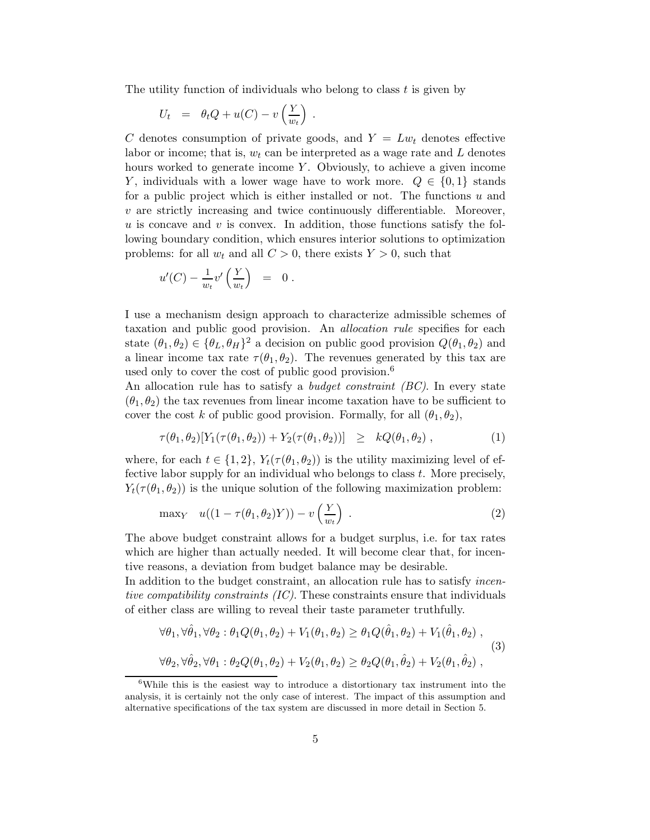The utility function of individuals who belong to class  $t$  is given by

$$
U_t = \theta_t Q + u(C) - v\left(\frac{Y}{w_t}\right) .
$$

C denotes consumption of private goods, and  $Y = Lw_t$  denotes effective labor or income; that is,  $w_t$  can be interpreted as a wage rate and  $L$  denotes hours worked to generate income  $Y$ . Obviously, to achieve a given income Y, individuals with a lower wage have to work more.  $Q \in \{0,1\}$  stands for a public project which is either installed or not. The functions  $u$  and  $v$  are strictly increasing and twice continuously differentiable. Moreover, u is concave and v is convex. In addition, those functions satisfy the following boundary condition, which ensures interior solutions to optimization problems: for all  $w_t$  and all  $C > 0$ , there exists  $Y > 0$ , such that

$$
u'(C) - \frac{1}{w_t}v'\left(\frac{Y}{w_t}\right) = 0.
$$

I use a mechanism design approach to characterize admissible schemes of taxation and public good provision. An allocation rule specifies for each state  $(\theta_1, \theta_2) \in {\theta_L, \theta_H}^2$  a decision on public good provision  $Q(\theta_1, \theta_2)$  and a linear income tax rate  $\tau(\theta_1, \theta_2)$ . The revenues generated by this tax are used only to cover the cost of public good provision.<sup>6</sup>

An allocation rule has to satisfy a *budget constraint (BC)*. In every state  $(\theta_1, \theta_2)$  the tax revenues from linear income taxation have to be sufficient to cover the cost k of public good provision. Formally, for all  $(\theta_1, \theta_2)$ ,

$$
\tau(\theta_1, \theta_2)[Y_1(\tau(\theta_1, \theta_2)) + Y_2(\tau(\theta_1, \theta_2))] \geq kQ(\theta_1, \theta_2), \qquad (1)
$$

where, for each  $t \in \{1,2\}, Y_t(\tau(\theta_1,\theta_2))$  is the utility maximizing level of effective labor supply for an individual who belongs to class  $t$ . More precisely,  $Y_t(\tau(\theta_1, \theta_2))$  is the unique solution of the following maximization problem:

$$
\max_{Y} \quad u((1 - \tau(\theta_1, \theta_2)Y)) - v\left(\frac{Y}{w_t}\right) \ . \tag{2}
$$

The above budget constraint allows for a budget surplus, i.e. for tax rates which are higher than actually needed. It will become clear that, for incentive reasons, a deviation from budget balance may be desirable.

In addition to the budget constraint, an allocation rule has to satisfy *incen*tive compatibility constraints  $(IC)$ . These constraints ensure that individuals of either class are willing to reveal their taste parameter truthfully.

$$
\forall \theta_1, \forall \hat{\theta}_1, \forall \theta_2 : \theta_1 Q(\theta_1, \theta_2) + V_1(\theta_1, \theta_2) \ge \theta_1 Q(\hat{\theta}_1, \theta_2) + V_1(\hat{\theta}_1, \theta_2),
$$
  

$$
\forall \theta_2, \forall \hat{\theta}_2, \forall \theta_1 : \theta_2 Q(\theta_1, \theta_2) + V_2(\theta_1, \theta_2) \ge \theta_2 Q(\theta_1, \hat{\theta}_2) + V_2(\theta_1, \hat{\theta}_2),
$$
  
(3)

<sup>6</sup>While this is the easiest way to introduce a distortionary tax instrument into the analysis, it is certainly not the only case of interest. The impact of this assumption and alternative specifications of the tax system are discussed in more detail in Section 5.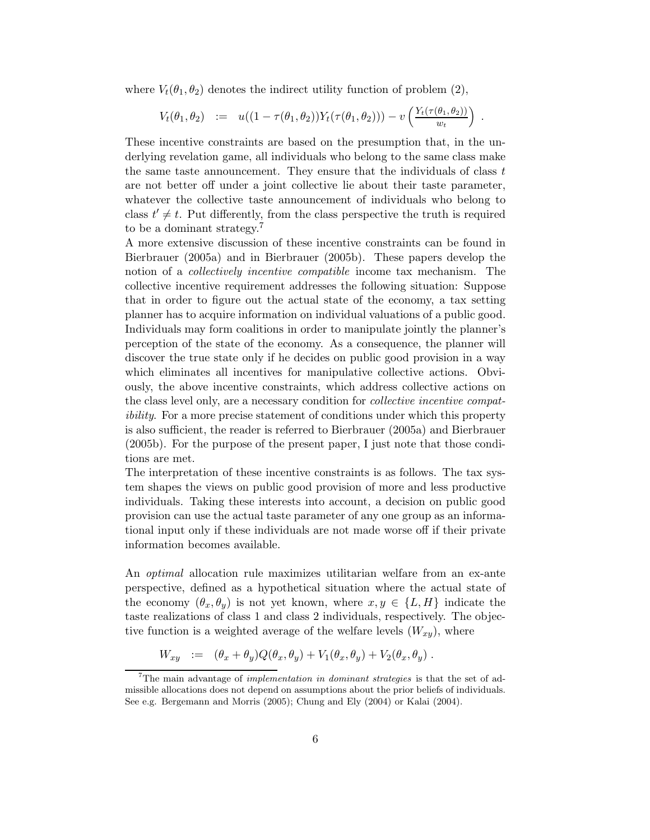where  $V_t(\theta_1, \theta_2)$  denotes the indirect utility function of problem (2),

$$
V_t(\theta_1, \theta_2) := u((1 - \tau(\theta_1, \theta_2))Y_t(\tau(\theta_1, \theta_2))) - v\left(\frac{Y_t(\tau(\theta_1, \theta_2))}{w_t}\right).
$$

These incentive constraints are based on the presumption that, in the underlying revelation game, all individuals who belong to the same class make the same taste announcement. They ensure that the individuals of class  $t$ are not better off under a joint collective lie about their taste parameter, whatever the collective taste announcement of individuals who belong to class  $t' \neq t$ . Put differently, from the class perspective the truth is required to be a dominant strategy.<sup>7</sup>

A more extensive discussion of these incentive constraints can be found in Bierbrauer (2005a) and in Bierbrauer (2005b). These papers develop the notion of a *collectively incentive compatible* income tax mechanism. The collective incentive requirement addresses the following situation: Suppose that in order to figure out the actual state of the economy, a tax setting planner has to acquire information on individual valuations of a public good. Individuals may form coalitions in order to manipulate jointly the planner's perception of the state of the economy. As a consequence, the planner will discover the true state only if he decides on public good provision in a way which eliminates all incentives for manipulative collective actions. Obviously, the above incentive constraints, which address collective actions on the class level only, are a necessary condition for *collective incentive compat*ibility. For a more precise statement of conditions under which this property is also sufficient, the reader is referred to Bierbrauer (2005a) and Bierbrauer (2005b). For the purpose of the present paper, I just note that those conditions are met.

The interpretation of these incentive constraints is as follows. The tax system shapes the views on public good provision of more and less productive individuals. Taking these interests into account, a decision on public good provision can use the actual taste parameter of any one group as an informational input only if these individuals are not made worse off if their private information becomes available.

An optimal allocation rule maximizes utilitarian welfare from an ex-ante perspective, defined as a hypothetical situation where the actual state of the economy  $(\theta_x, \theta_y)$  is not yet known, where  $x, y \in \{L, H\}$  indicate the taste realizations of class 1 and class 2 individuals, respectively. The objective function is a weighted average of the welfare levels  $(W_{xy})$ , where

$$
W_{xy} := (\theta_x + \theta_y)Q(\theta_x, \theta_y) + V_1(\theta_x, \theta_y) + V_2(\theta_x, \theta_y).
$$

<sup>&</sup>lt;sup>7</sup>The main advantage of *implementation in dominant strategies* is that the set of admissible allocations does not depend on assumptions about the prior beliefs of individuals. See e.g. Bergemann and Morris (2005); Chung and Ely (2004) or Kalai (2004).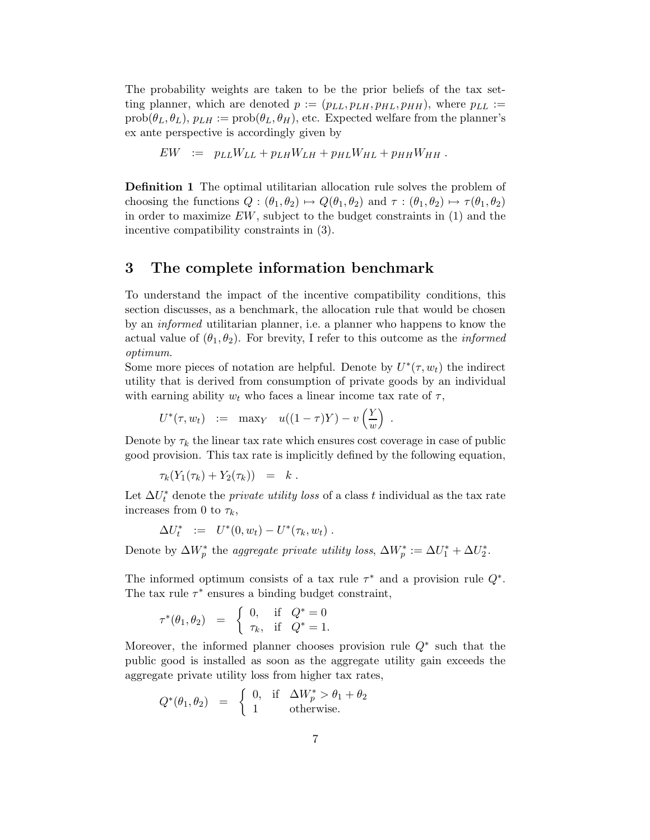The probability weights are taken to be the prior beliefs of the tax setting planner, which are denoted  $p := (p_{LL}, p_{LH}, p_{HL}, p_{HH})$ , where  $p_{LL} :=$  $prob(\theta_L, \theta_L), p_{LH} := prob(\theta_L, \theta_H)$ , etc. Expected welfare from the planner's ex ante perspective is accordingly given by

 $EW = p_{LL}W_{LL} + p_{LH}W_{LH} + p_{HL}W_{HL} + p_{HH}W_{HH}.$ 

Definition 1 The optimal utilitarian allocation rule solves the problem of choosing the functions  $Q : (\theta_1, \theta_2) \mapsto Q(\theta_1, \theta_2)$  and  $\tau : (\theta_1, \theta_2) \mapsto \tau(\theta_1, \theta_2)$ in order to maximize  $EW$ , subject to the budget constraints in  $(1)$  and the incentive compatibility constraints in (3).

## 3 The complete information benchmark

To understand the impact of the incentive compatibility conditions, this section discusses, as a benchmark, the allocation rule that would be chosen by an informed utilitarian planner, i.e. a planner who happens to know the actual value of  $(\theta_1, \theta_2)$ . For brevity, I refer to this outcome as the *informed* optimum.

Some more pieces of notation are helpful. Denote by  $U^*(\tau, w_t)$  the indirect utility that is derived from consumption of private goods by an individual with earning ability  $w_t$  who faces a linear income tax rate of  $\tau$ ,

$$
U^*(\tau, w_t) \quad := \quad \max_Y \quad u((1 - \tau)Y) - v\left(\frac{Y}{w}\right) \; .
$$

Denote by  $\tau_k$  the linear tax rate which ensures cost coverage in case of public good provision. This tax rate is implicitly defined by the following equation,

$$
\tau_k(Y_1(\tau_k) + Y_2(\tau_k)) = k.
$$

Let  $\Delta U_t^*$  denote the *private utility loss* of a class t individual as the tax rate increases from 0 to  $\tau_k$ ,

$$
\Delta U_t^* \; := \; U^*(0, w_t) - U^*(\tau_k, w_t) \; .
$$

Denote by  $\Delta W_p^*$  the *aggregate private utility loss*,  $\Delta W_p^* := \Delta U_1^* + \Delta U_2^*$ .

The informed optimum consists of a tax rule  $\tau^*$  and a provision rule  $Q^*$ . The tax rule  $\tau^*$  ensures a binding budget constraint,

$$
\tau^*(\theta_1, \theta_2) = \begin{cases} 0, & \text{if } Q^* = 0 \\ \tau_k, & \text{if } Q^* = 1. \end{cases}
$$

Moreover, the informed planner chooses provision rule  $Q^*$  such that the public good is installed as soon as the aggregate utility gain exceeds the aggregate private utility loss from higher tax rates,

$$
Q^*(\theta_1,\theta_2) \;\;=\;\; \left\{ \begin{array}{ll} 0, & \text{if} \quad \Delta W^*_p > \theta_1 + \theta_2 \\ 1 & & \text{otherwise}. \end{array} \right.
$$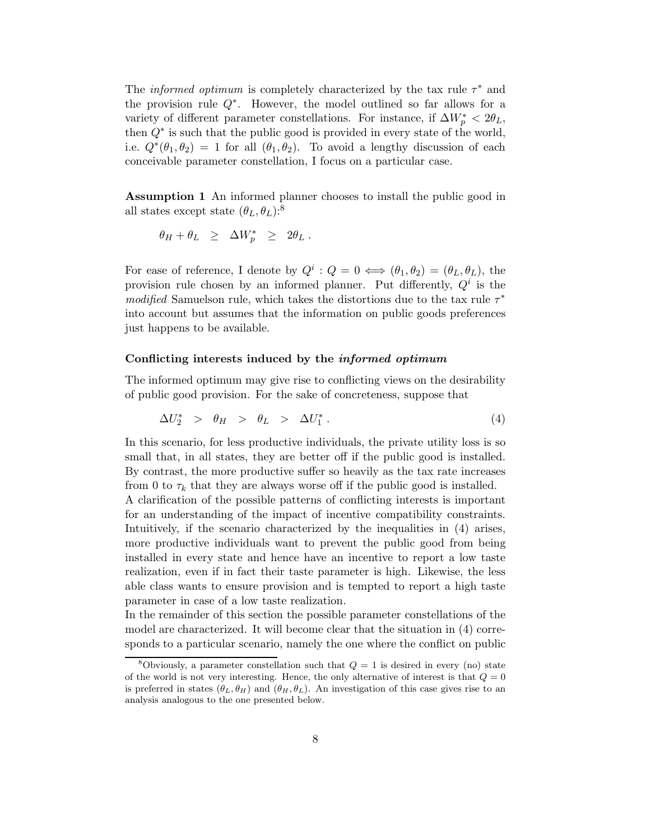The *informed optimum* is completely characterized by the tax rule  $\tau^*$  and the provision rule  $Q^*$ . However, the model outlined so far allows for a variety of different parameter constellations. For instance, if  $\Delta W_p^* < 2\theta_L$ , then  $Q^*$  is such that the public good is provided in every state of the world, i.e.  $Q^*(\theta_1,\theta_2) = 1$  for all  $(\theta_1,\theta_2)$ . To avoid a lengthy discussion of each conceivable parameter constellation, I focus on a particular case.

Assumption 1 An informed planner chooses to install the public good in all states except state  $(\theta_L, \theta_L)$ :<sup>8</sup>

$$
\theta_H + \theta_L \geq \Delta W_p^* \geq 2\theta_L.
$$

For ease of reference, I denote by  $Q^i$ :  $Q = 0 \iff (\theta_1, \theta_2) = (\theta_L, \theta_L)$ , the provision rule chosen by an informed planner. Put differently,  $Q^i$  is the *modified* Samuelson rule, which takes the distortions due to the tax rule  $\tau^*$ into account but assumes that the information on public goods preferences just happens to be available.

#### Conflicting interests induced by the informed optimum

The informed optimum may give rise to conflicting views on the desirability of public good provision. For the sake of concreteness, suppose that

$$
\Delta U_2^* > \theta_H > \theta_L > \Delta U_1^* \,. \tag{4}
$$

In this scenario, for less productive individuals, the private utility loss is so small that, in all states, they are better off if the public good is installed. By contrast, the more productive suffer so heavily as the tax rate increases from 0 to  $\tau_k$  that they are always worse off if the public good is installed.

A clarification of the possible patterns of conflicting interests is important for an understanding of the impact of incentive compatibility constraints. Intuitively, if the scenario characterized by the inequalities in (4) arises, more productive individuals want to prevent the public good from being installed in every state and hence have an incentive to report a low taste realization, even if in fact their taste parameter is high. Likewise, the less able class wants to ensure provision and is tempted to report a high taste parameter in case of a low taste realization.

In the remainder of this section the possible parameter constellations of the model are characterized. It will become clear that the situation in (4) corresponds to a particular scenario, namely the one where the conflict on public

<sup>&</sup>lt;sup>8</sup>Obviously, a parameter constellation such that  $Q = 1$  is desired in every (no) state of the world is not very interesting. Hence, the only alternative of interest is that  $Q = 0$ is preferred in states  $(\theta_L, \theta_H)$  and  $(\theta_H, \theta_L)$ . An investigation of this case gives rise to an analysis analogous to the one presented below.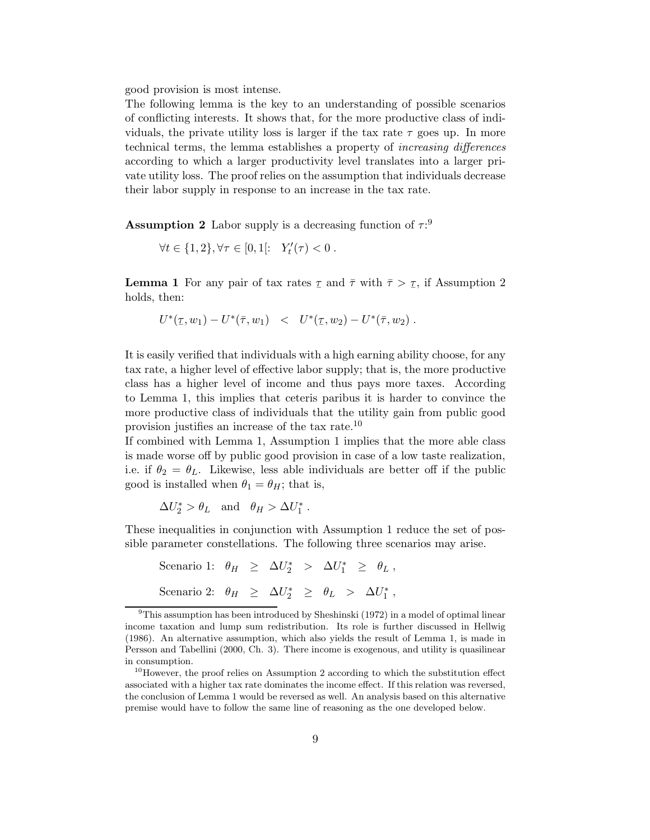good provision is most intense.

The following lemma is the key to an understanding of possible scenarios of conflicting interests. It shows that, for the more productive class of individuals, the private utility loss is larger if the tax rate  $\tau$  goes up. In more technical terms, the lemma establishes a property of increasing differences according to which a larger productivity level translates into a larger private utility loss. The proof relies on the assumption that individuals decrease their labor supply in response to an increase in the tax rate.

**Assumption 2** Labor supply is a decreasing function of  $\tau$ :<sup>9</sup>

 $\forall t \in \{1,2\}, \forall \tau \in [0,1[:Y_t']$  $t''_t(\tau) < 0$ .

**Lemma 1** For any pair of tax rates  $\tau$  and  $\bar{\tau}$  with  $\bar{\tau} > \tau$ , if Assumption 2<br>holds then: holds, then:

$$
U^*(\tau, w_1) - U^*(\bar{\tau}, w_1) \leq U^*(\tau, w_2) - U^*(\bar{\tau}, w_2) .
$$

It is easily verified that individuals with a high earning ability choose, for any tax rate, a higher level of effective labor supply; that is, the more productive class has a higher level of income and thus pays more taxes. According to Lemma 1, this implies that ceteris paribus it is harder to convince the more productive class of individuals that the utility gain from public good provision justifies an increase of the tax rate.<sup>10</sup>

If combined with Lemma 1, Assumption 1 implies that the more able class is made worse off by public good provision in case of a low taste realization, i.e. if  $\theta_2 = \theta_L$ . Likewise, less able individuals are better off if the public good is installed when  $\theta_1 = \theta_H$ ; that is,

$$
\Delta U_2^* > \theta_L \quad \text{and} \quad \theta_H > \Delta U_1^* \; .
$$

These inequalities in conjunction with Assumption 1 reduce the set of possible parameter constellations. The following three scenarios may arise.

$$
\begin{array}{lclclcl} \text{Scenario 1:} & \theta_{H} & \geq & \Delta U_{2}^{*} & > & \Delta U_{1}^{*} & \geq & \theta_{L} \; , \\ & \text{Scenario 2:} & \theta_{H} & \geq & \Delta U_{2}^{*} & \geq & \theta_{L} & > & \Delta U_{1}^{*} \; , \end{array}
$$

 $9$ This assumption has been introduced by Sheshinski (1972) in a model of optimal linear income taxation and lump sum redistribution. Its role is further discussed in Hellwig (1986). An alternative assumption, which also yields the result of Lemma 1, is made in Persson and Tabellini (2000, Ch. 3). There income is exogenous, and utility is quasilinear in consumption.

 $10$ However, the proof relies on Assumption 2 according to which the substitution effect associated with a higher tax rate dominates the income effect. If this relation was reversed, the conclusion of Lemma 1 would be reversed as well. An analysis based on this alternative premise would have to follow the same line of reasoning as the one developed below.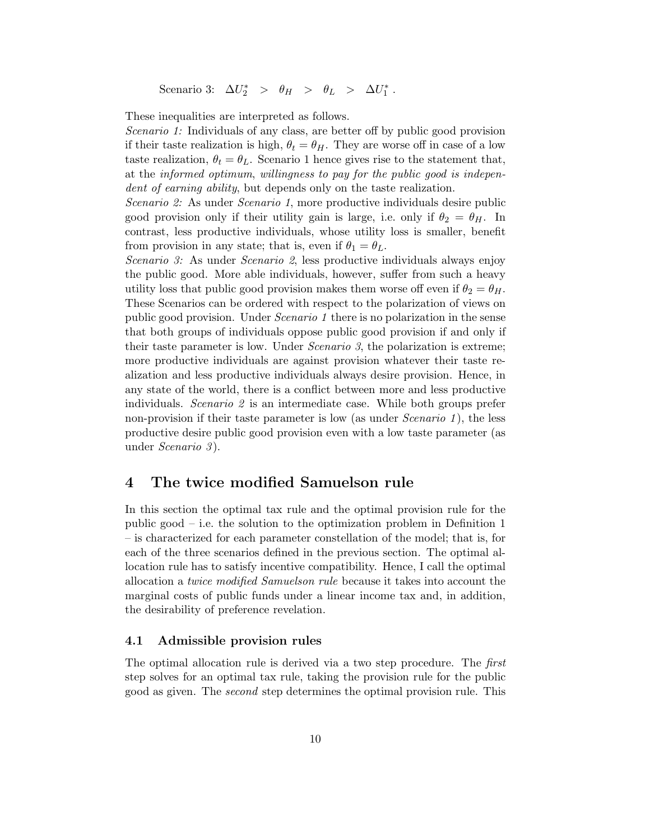Scenario 3:  $\Delta U_2^*$  >  $\theta_H$  >  $\theta_L$  >  $\Delta U_1^*$ .

These inequalities are interpreted as follows.

Scenario 1: Individuals of any class, are better off by public good provision if their taste realization is high,  $\theta_t = \theta_H$ . They are worse off in case of a low taste realization,  $\theta_t = \theta_L$ . Scenario 1 hence gives rise to the statement that, at the informed optimum, willingness to pay for the public good is independent of earning ability, but depends only on the taste realization.

Scenario 2: As under Scenario 1, more productive individuals desire public good provision only if their utility gain is large, i.e. only if  $\theta_2 = \theta_H$ . In contrast, less productive individuals, whose utility loss is smaller, benefit from provision in any state; that is, even if  $\theta_1 = \theta_L$ .

Scenario 3: As under Scenario 2, less productive individuals always enjoy the public good. More able individuals, however, suffer from such a heavy utility loss that public good provision makes them worse off even if  $\theta_2 = \theta_H$ . These Scenarios can be ordered with respect to the polarization of views on public good provision. Under Scenario 1 there is no polarization in the sense that both groups of individuals oppose public good provision if and only if their taste parameter is low. Under Scenario 3, the polarization is extreme; more productive individuals are against provision whatever their taste realization and less productive individuals always desire provision. Hence, in any state of the world, there is a conflict between more and less productive individuals. Scenario 2 is an intermediate case. While both groups prefer non-provision if their taste parameter is low (as under *Scenario 1*), the less productive desire public good provision even with a low taste parameter (as under Scenario 3).

## 4 The twice modified Samuelson rule

In this section the optimal tax rule and the optimal provision rule for the public good – i.e. the solution to the optimization problem in Definition 1 – is characterized for each parameter constellation of the model; that is, for each of the three scenarios defined in the previous section. The optimal allocation rule has to satisfy incentive compatibility. Hence, I call the optimal allocation a twice modified Samuelson rule because it takes into account the marginal costs of public funds under a linear income tax and, in addition, the desirability of preference revelation.

## 4.1 Admissible provision rules

The optimal allocation rule is derived via a two step procedure. The first step solves for an optimal tax rule, taking the provision rule for the public good as given. The second step determines the optimal provision rule. This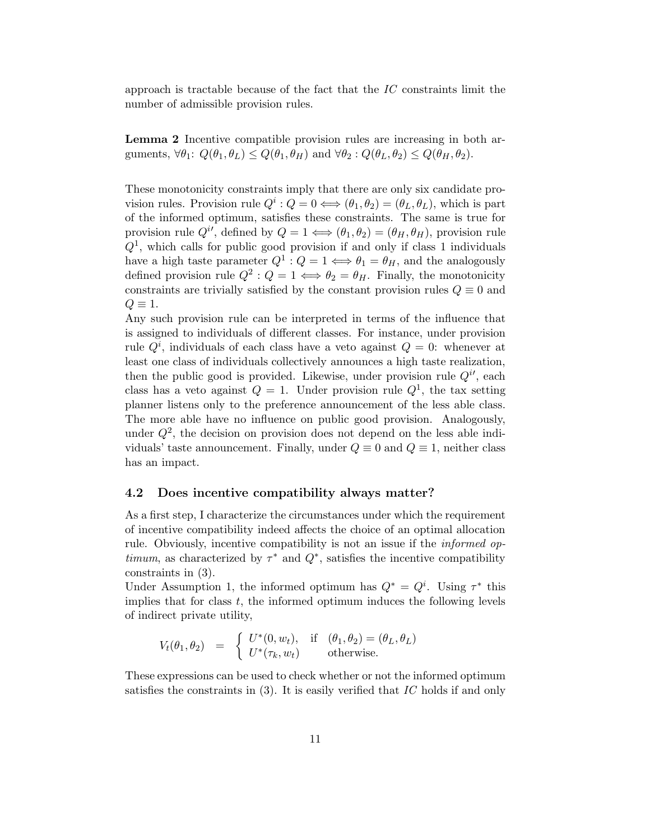approach is tractable because of the fact that the  $IC$  constraints limit the number of admissible provision rules.

Lemma 2 Incentive compatible provision rules are increasing in both arguments,  $\forall \theta_1: Q(\theta_1, \theta_L) \leq Q(\theta_1, \theta_H)$  and  $\forall \theta_2: Q(\theta_L, \theta_2) \leq Q(\theta_H, \theta_2)$ .

These monotonicity constraints imply that there are only six candidate provision rules. Provision rule  $Q^i$ :  $Q = 0 \Longleftrightarrow (\theta_1, \theta_2) = (\theta_L, \theta_L)$ , which is part of the informed optimum, satisfies these constraints. The same is true for provision rule  $Q^{i'}$ , defined by  $Q = 1 \Longleftrightarrow (\theta_1, \theta_2) = (\theta_H, \theta_H)$ , provision rule  $Q<sup>1</sup>$ , which calls for public good provision if and only if class 1 individuals have a high taste parameter  $Q^1$ :  $Q = 1 \Longleftrightarrow \theta_1 = \theta_H$ , and the analogously defined provision rule  $Q^2$ :  $Q = 1 \Longleftrightarrow \theta_2 = \theta_H$ . Finally, the monotonicity constraints are trivially satisfied by the constant provision rules  $Q \equiv 0$  and  $Q \equiv 1$ .

Any such provision rule can be interpreted in terms of the influence that is assigned to individuals of different classes. For instance, under provision rule  $Q<sup>i</sup>$ , individuals of each class have a veto against  $Q = 0$ : whenever at least one class of individuals collectively announces a high taste realization, then the public good is provided. Likewise, under provision rule  $Q^{i'}$ , each class has a veto against  $Q = 1$ . Under provision rule  $Q<sup>1</sup>$ , the tax setting planner listens only to the preference announcement of the less able class. The more able have no influence on public good provision. Analogously, under  $Q^2$ , the decision on provision does not depend on the less able individuals' taste announcement. Finally, under  $Q \equiv 0$  and  $Q \equiv 1$ , neither class has an impact.

## 4.2 Does incentive compatibility always matter?

As a first step, I characterize the circumstances under which the requirement of incentive compatibility indeed affects the choice of an optimal allocation rule. Obviously, incentive compatibility is not an issue if the *informed op*timum, as characterized by  $\tau^*$  and  $Q^*$ , satisfies the incentive compatibility constraints in (3).

Under Assumption 1, the informed optimum has  $Q^* = Q^i$ . Using  $\tau^*$  this implies that for class  $t$ , the informed optimum induces the following levels of indirect private utility,

$$
V_t(\theta_1, \theta_2) = \begin{cases} U^*(0, w_t), & \text{if } (\theta_1, \theta_2) = (\theta_L, \theta_L) \\ U^*(\tau_k, w_t) & \text{otherwise.} \end{cases}
$$

These expressions can be used to check whether or not the informed optimum satisfies the constraints in  $(3)$ . It is easily verified that IC holds if and only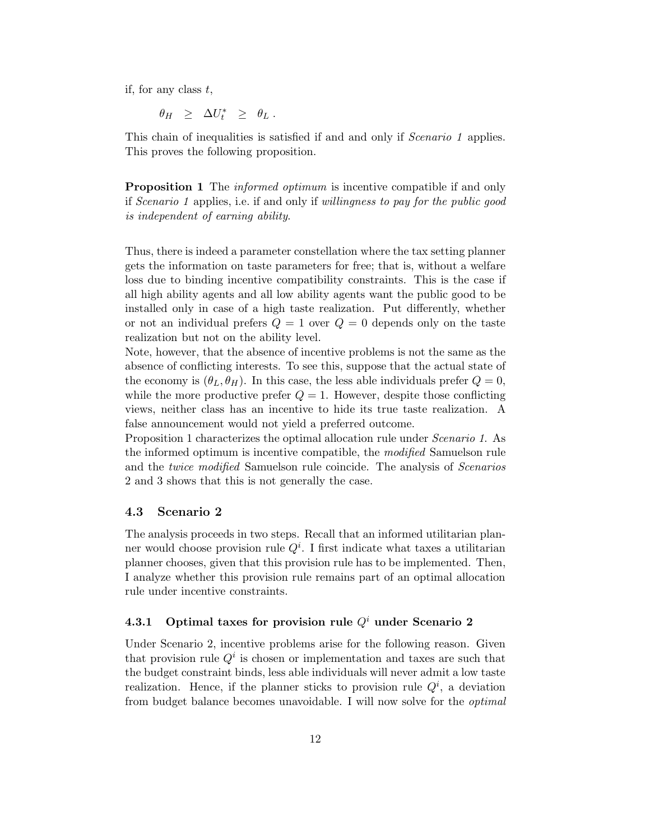if, for any class  $t$ ,

$$
\theta_H \geq \Delta U_t^* \geq \theta_L.
$$

This chain of inequalities is satisfied if and and only if *Scenario 1* applies. This proves the following proposition.

**Proposition 1** The *informed optimum* is incentive compatible if and only if Scenario 1 applies, i.e. if and only if willingness to pay for the public good is independent of earning ability.

Thus, there is indeed a parameter constellation where the tax setting planner gets the information on taste parameters for free; that is, without a welfare loss due to binding incentive compatibility constraints. This is the case if all high ability agents and all low ability agents want the public good to be installed only in case of a high taste realization. Put differently, whether or not an individual prefers  $Q = 1$  over  $Q = 0$  depends only on the taste realization but not on the ability level.

Note, however, that the absence of incentive problems is not the same as the absence of conflicting interests. To see this, suppose that the actual state of the economy is  $(\theta_L, \theta_H)$ . In this case, the less able individuals prefer  $Q = 0$ , while the more productive prefer  $Q = 1$ . However, despite those conflicting views, neither class has an incentive to hide its true taste realization. A false announcement would not yield a preferred outcome.

Proposition 1 characterizes the optimal allocation rule under *Scenario 1*. As the informed optimum is incentive compatible, the *modified* Samuelson rule and the *twice modified* Samuelson rule coincide. The analysis of *Scenarios* 2 and 3 shows that this is not generally the case.

#### 4.3 Scenario 2

The analysis proceeds in two steps. Recall that an informed utilitarian planner would choose provision rule  $Q<sup>i</sup>$ . I first indicate what taxes a utilitarian planner chooses, given that this provision rule has to be implemented. Then, I analyze whether this provision rule remains part of an optimal allocation rule under incentive constraints.

## 4.3.1 Optimal taxes for provision rule  $Q<sup>i</sup>$  under Scenario 2

Under Scenario 2, incentive problems arise for the following reason. Given that provision rule  $Q<sup>i</sup>$  is chosen or implementation and taxes are such that the budget constraint binds, less able individuals will never admit a low taste realization. Hence, if the planner sticks to provision rule  $Q<sup>i</sup>$ , a deviation from budget balance becomes unavoidable. I will now solve for the *optimal*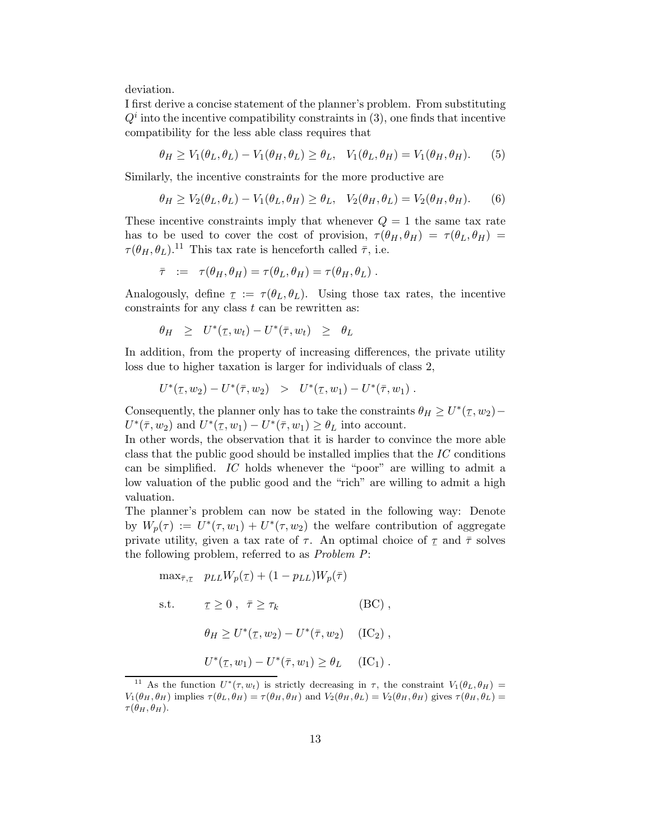deviation.

I first derive a concise statement of the planner's problem. From substituting  $Q<sup>i</sup>$  into the incentive compatibility constraints in (3), one finds that incentive compatibility for the less able class requires that

$$
\theta_H \ge V_1(\theta_L, \theta_L) - V_1(\theta_H, \theta_L) \ge \theta_L, \quad V_1(\theta_L, \theta_H) = V_1(\theta_H, \theta_H). \tag{5}
$$

Similarly, the incentive constraints for the more productive are

$$
\theta_H \ge V_2(\theta_L, \theta_L) - V_1(\theta_L, \theta_H) \ge \theta_L, \quad V_2(\theta_H, \theta_L) = V_2(\theta_H, \theta_H). \tag{6}
$$

These incentive constraints imply that whenever  $Q = 1$  the same tax rate has to be used to cover the cost of provision,  $\tau(\theta_H, \theta_H) = \tau(\theta_L, \theta_H)$  $\tau(\theta_H, \theta_L)$ .<sup>11</sup> This tax rate is henceforth called  $\bar{\tau}$ , i.e.

$$
\bar{\tau} \;\;:=\;\; \tau(\theta_H,\theta_H) = \tau(\theta_L,\theta_H) = \tau(\theta_H,\theta_L) \;.
$$

Analogously, define  $\tau := \tau(\theta_L, \theta_L)$ . Using those tax rates, the incentive constraints for any class t can be rewritten as:

$$
\theta_H \geq U^*(\tau, w_t) - U^*(\bar{\tau}, w_t) \geq \theta_L
$$

In addition, from the property of increasing differences, the private utility loss due to higher taxation is larger for individuals of class 2,

$$
U^*(\tau,w_2)-U^*(\bar\tau,w_2) > U^*(\tau,w_1)-U^*(\bar\tau,w_1).
$$

Consequently, the planner only has to take the constraints  $\theta_H \geq U^*(\tau, w_2) - U^*(\bar{\tau}, w_1)$  and  $U^*(\tau, w_1) = U^*(\bar{\tau}, w_1) \geq \theta$ , into account  $U^*(\bar{\tau}, w_2)$  and  $U^*(\bar{\tau}, w_1) - U^*(\bar{\tau}, w_1) \ge \theta_L$  into account.

In other words, the observation that it is harder to convince the more able class that the public good should be installed implies that the  $IC$  conditions can be simplified. IC holds whenever the "poor" are willing to admit a low valuation of the public good and the "rich" are willing to admit a high valuation.

The planner's problem can now be stated in the following way: Denote by  $\hat{W_p}(\tau) := U^*(\tau, w_1) + U^*(\tau, w_2)$  the welfare contribution of aggregate private utility, given a tax rate of  $\tau$ . An optimal choice of  $\tau$  and  $\bar{\tau}$  solves<br>the following problem referred to as *Problem P*. the following problem, referred to as Problem P:

$$
\max_{\overline{\tau}, \underline{\tau}} \quad p_{LL} W_p(\underline{\tau}) + (1 - p_{LL}) W_p(\overline{\tau})
$$
\ns.t. 
$$
\underline{\tau} \ge 0 \ , \ \overline{\tau} \ge \tau_k \qquad \qquad \text{(BC)} \ ,
$$
\n
$$
\theta_H \ge U^*(\underline{\tau}, w_2) - U^*(\overline{\tau}, w_2) \quad \text{(IC}_2) \ ,
$$
\n
$$
U^*(\underline{\tau}, w_1) - U^*(\overline{\tau}, w_1) \ge \theta_L \quad \text{(IC}_1) \ .
$$

<sup>&</sup>lt;sup>11</sup> As the function  $U^*(\tau, w_t)$  is strictly decreasing in  $\tau$ , the constraint  $V_1(\theta_L, \theta_H)$  =  $V_1(\theta_H, \theta_H)$  implies  $\tau(\theta_L, \theta_H) = \tau(\theta_H, \theta_H)$  and  $V_2(\theta_H, \theta_L) = V_2(\theta_H, \theta_H)$  gives  $\tau(\theta_H, \theta_L) =$  $\tau(\theta_H, \theta_H)$ .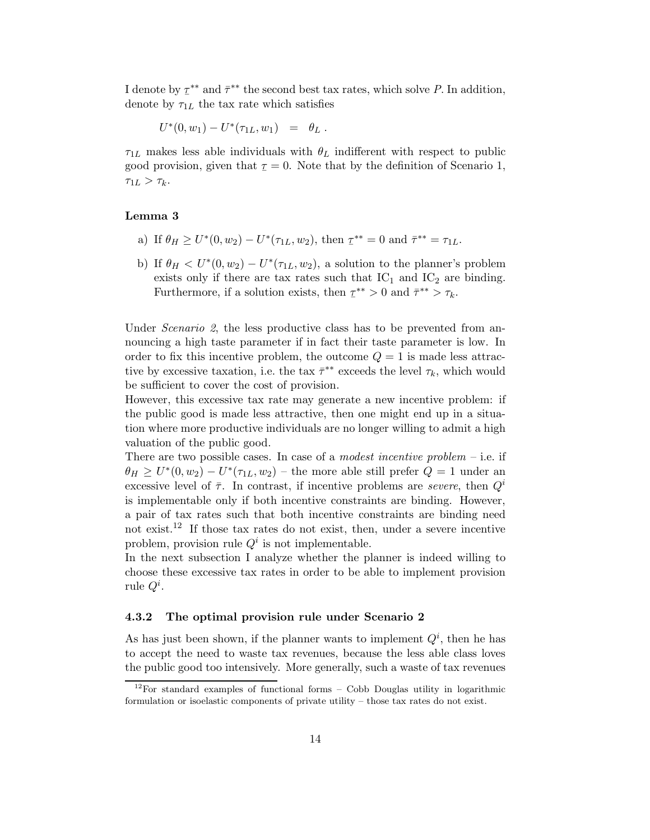I denote by  $\tau^{**}$  and  $\bar{\tau}^{**}$  the second best tax rates, which solve P. In addition, denote by  $\tau_{1L}$  the tax rate which satisfies

$$
U^*(0, w_1) - U^*(\tau_{1L}, w_1) = \theta_L.
$$

 $\tau_{1L}$  makes less able individuals with  $\theta_L$  indifferent with respect to public good provision, given that  $\tau = 0$ . Note that by the definition of Scenario 1,  $\tau_{1L} > \tau_k$ .

#### Lemma 3

- a) If  $\theta_H \ge U^*(0, w_2) U^*(\tau_{1L}, w_2)$ , then  $\tau^{**} = 0$  and  $\bar{\tau}^{**} = \tau_{1L}$ .
- b) If  $\theta_H < U^*(0, w_2) U^*(\tau_{1L}, w_2)$ , a solution to the planner's problem exists only if there are tax rates such that  $IC_1$  and  $IC_2$  are binding. Furthermore, if a solution exists, then  $\tau^{**} > 0$  and  $\bar{\tau}^{**} > \tau_k$ .

Under *Scenario* 2, the less productive class has to be prevented from announcing a high taste parameter if in fact their taste parameter is low. In order to fix this incentive problem, the outcome  $Q = 1$  is made less attractive by excessive taxation, i.e. the tax  $\bar{\tau}^{**}$  exceeds the level  $\tau_k$ , which would be sufficient to cover the cost of provision.

However, this excessive tax rate may generate a new incentive problem: if the public good is made less attractive, then one might end up in a situation where more productive individuals are no longer willing to admit a high valuation of the public good.

There are two possible cases. In case of a *modest incentive problem* – i.e. if  $\theta_H \geq U^*(0, w_2) - U^*(\tau_{1L}, w_2)$  – the more able still prefer  $Q = 1$  under an excessive level of  $\bar{\tau}$ . In contrast, if incentive problems are severe, then  $Q^i$ is implementable only if both incentive constraints are binding. However, a pair of tax rates such that both incentive constraints are binding need not exist.<sup>12</sup> If those tax rates do not exist, then, under a severe incentive problem, provision rule  $Q^i$  is not implementable.

In the next subsection I analyze whether the planner is indeed willing to choose these excessive tax rates in order to be able to implement provision rule  $Q^i$ .

#### 4.3.2 The optimal provision rule under Scenario 2

As has just been shown, if the planner wants to implement  $Q<sup>i</sup>$ , then he has to accept the need to waste tax revenues, because the less able class loves the public good too intensively. More generally, such a waste of tax revenues

 $12$ For standard examples of functional forms – Cobb Douglas utility in logarithmic formulation or isoelastic components of private utility – those tax rates do not exist.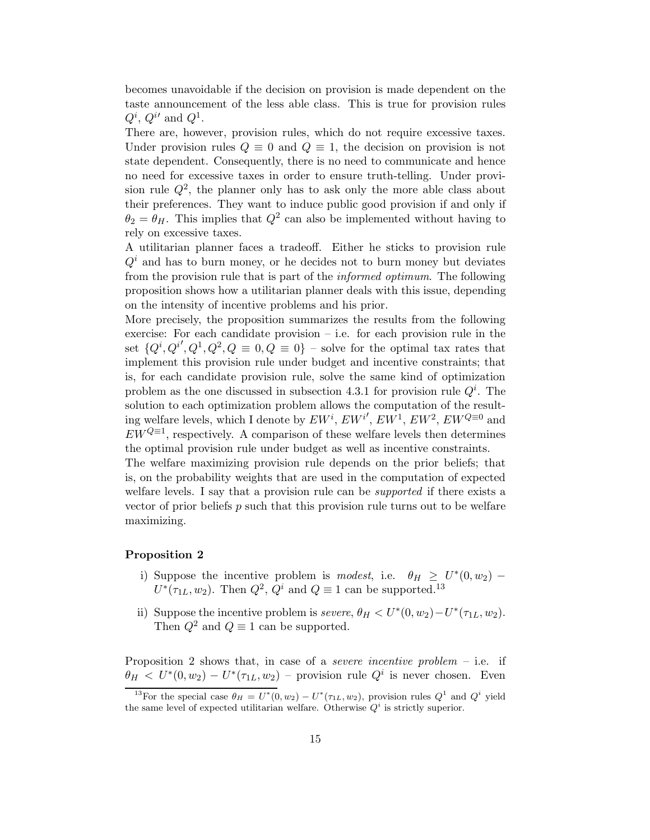becomes unavoidable if the decision on provision is made dependent on the taste announcement of the less able class. This is true for provision rules  $Q^i$ ,  $Q^{i'}$  and  $Q^1$ .

There are, however, provision rules, which do not require excessive taxes. Under provision rules  $Q \equiv 0$  and  $Q \equiv 1$ , the decision on provision is not state dependent. Consequently, there is no need to communicate and hence no need for excessive taxes in order to ensure truth-telling. Under provision rule  $Q^2$ , the planner only has to ask only the more able class about their preferences. They want to induce public good provision if and only if  $\theta_2 = \theta_H$ . This implies that  $Q^2$  can also be implemented without having to rely on excessive taxes.

A utilitarian planner faces a tradeoff. Either he sticks to provision rule  $Q<sup>i</sup>$  and has to burn money, or he decides not to burn money but deviates from the provision rule that is part of the informed optimum. The following proposition shows how a utilitarian planner deals with this issue, depending on the intensity of incentive problems and his prior.

More precisely, the proposition summarizes the results from the following exercise: For each candidate provision – i.e. for each provision rule in the set  $\{Q^i, Q^{i'}, Q^1, Q^2, Q \equiv 0, Q \equiv 0\}$  – solve for the optimal tax rates that implement this provision rule under budget and incentive constraints; that is, for each candidate provision rule, solve the same kind of optimization problem as the one discussed in subsection 4.3.1 for provision rule  $Q^i$ . The solution to each optimization problem allows the computation of the resulting welfare levels, which I denote by  $EW^i$ ,  $EW^i$ ,  $EW^1$ ,  $EW^2$ ,  $EW^Q$ =0 and  $\widetilde{EW}^{Q \equiv 1}$ , respectively. A comparison of these welfare levels then determines the optimal provision rule under budget as well as incentive constraints.

The welfare maximizing provision rule depends on the prior beliefs; that is, on the probability weights that are used in the computation of expected welfare levels. I say that a provision rule can be *supported* if there exists a vector of prior beliefs  $p$  such that this provision rule turns out to be welfare maximizing.

### Proposition 2

- i) Suppose the incentive problem is modest, i.e.  $\theta_H \geq U^*(0, w_2)$   $U^*(\tau_{1L}, w_2)$ . Then  $Q^2$ ,  $\tilde{Q}^i$  and  $Q \equiv 1$  can be supported.<sup>13</sup>
- ii) Suppose the incentive problem is severe,  $\theta_H < U^*(0, w_2) U^*(\tau_{1L}, w_2)$ . Then  $Q^2$  and  $Q \equiv 1$  can be supported.

Proposition 2 shows that, in case of a *severe incentive problem –* i.e. if  $\theta_H \leq U^*(0, w_2) - U^*(\tau_{1L}, w_2)$  – provision rule  $Q^i$  is never chosen. Even

<sup>&</sup>lt;sup>13</sup>For the special case  $\theta_H = U^*(0, w_2) - U^*(\tau_{1L}, w_2)$ , provision rules  $Q^1$  and  $Q^i$  yield the same level of expected utilitarian welfare. Otherwise  $Q<sup>i</sup>$  is strictly superior.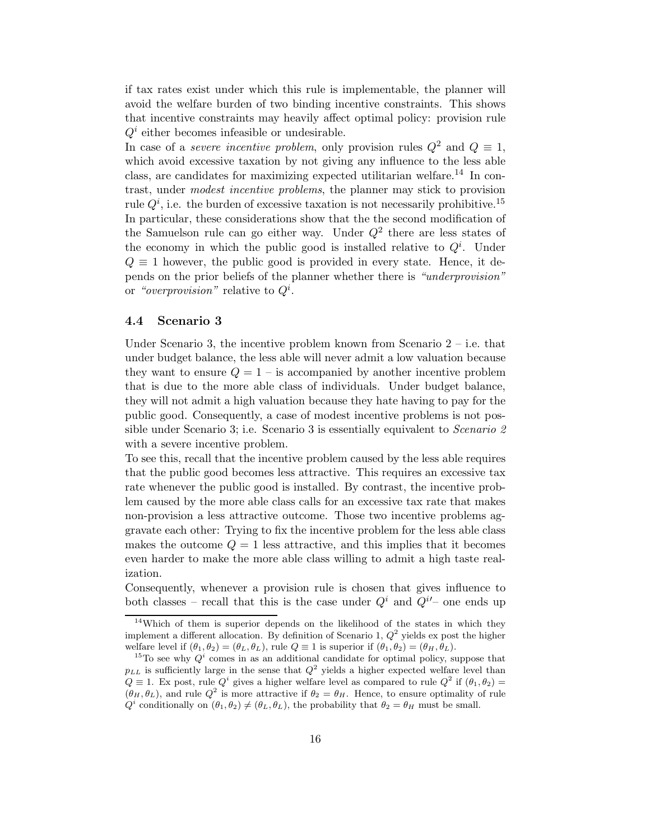if tax rates exist under which this rule is implementable, the planner will avoid the welfare burden of two binding incentive constraints. This shows that incentive constraints may heavily affect optimal policy: provision rule  $Q<sup>i</sup>$  either becomes infeasible or undesirable.

In case of a *severe incentive problem*, only provision rules  $Q^2$  and  $Q \equiv 1$ , which avoid excessive taxation by not giving any influence to the less able class, are candidates for maximizing expected utilitarian welfare.<sup>14</sup> In contrast, under modest incentive problems, the planner may stick to provision rule  $Q<sup>i</sup>$ , i.e. the burden of excessive taxation is not necessarily prohibitive.<sup>15</sup> In particular, these considerations show that the the second modification of the Samuelson rule can go either way. Under  $Q^2$  there are less states of the economy in which the public good is installed relative to  $Q^i$ . Under  $Q \equiv 1$  however, the public good is provided in every state. Hence, it depends on the prior beliefs of the planner whether there is "underprovision" or "overprovision" relative to  $Q^i$ .

## 4.4 Scenario 3

Under Scenario 3, the incentive problem known from Scenario  $2 - i.e.$  that under budget balance, the less able will never admit a low valuation because they want to ensure  $Q = 1 - i$  is accompanied by another incentive problem that is due to the more able class of individuals. Under budget balance, they will not admit a high valuation because they hate having to pay for the public good. Consequently, a case of modest incentive problems is not possible under Scenario 3; i.e. Scenario 3 is essentially equivalent to Scenario 2 with a severe incentive problem.

To see this, recall that the incentive problem caused by the less able requires that the public good becomes less attractive. This requires an excessive tax rate whenever the public good is installed. By contrast, the incentive problem caused by the more able class calls for an excessive tax rate that makes non-provision a less attractive outcome. Those two incentive problems aggravate each other: Trying to fix the incentive problem for the less able class makes the outcome  $Q = 1$  less attractive, and this implies that it becomes even harder to make the more able class willing to admit a high taste realization.

Consequently, whenever a provision rule is chosen that gives influence to both classes – recall that this is the case under  $Q^i$  and  $Q^{i'}$ – one ends up

<sup>&</sup>lt;sup>14</sup>Which of them is superior depends on the likelihood of the states in which they implement a different allocation. By definition of Scenario 1,  $Q^2$  yields ex post the higher welfare level if  $(\theta_1, \theta_2) = (\theta_L, \theta_L)$ , rule  $Q \equiv 1$  is superior if  $(\theta_1, \theta_2) = (\theta_H, \theta_L)$ .

<sup>&</sup>lt;sup>15</sup>To see why  $Q<sup>i</sup>$  comes in as an additional candidate for optimal policy, suppose that  $p_{LL}$  is sufficiently large in the sense that  $Q^2$  yields a higher expected welfare level than  $Q \equiv 1$ . Ex post, rule  $Q^i$  gives a higher welfare level as compared to rule  $Q^2$  if  $(\theta_1, \theta_2)$  $(\theta_H, \theta_L)$ , and rule  $Q^2$  is more attractive if  $\theta_2 = \theta_H$ . Hence, to ensure optimality of rule  $Q^i$  conditionally on  $(\theta_1, \theta_2) \neq (\theta_L, \theta_L)$ , the probability that  $\theta_2 = \theta_H$  must be small.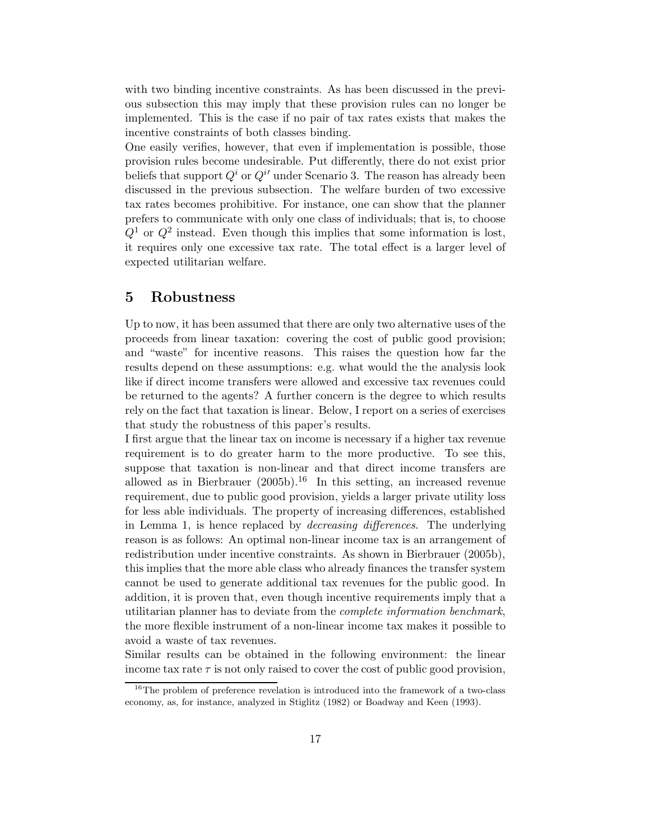with two binding incentive constraints. As has been discussed in the previous subsection this may imply that these provision rules can no longer be implemented. This is the case if no pair of tax rates exists that makes the incentive constraints of both classes binding.

One easily verifies, however, that even if implementation is possible, those provision rules become undesirable. Put differently, there do not exist prior beliefs that support  $Q^i$  or  $Q^{i'}$  under Scenario 3. The reason has already been discussed in the previous subsection. The welfare burden of two excessive tax rates becomes prohibitive. For instance, one can show that the planner prefers to communicate with only one class of individuals; that is, to choose  $Q<sup>1</sup>$  or  $Q<sup>2</sup>$  instead. Even though this implies that some information is lost, it requires only one excessive tax rate. The total effect is a larger level of expected utilitarian welfare.

## 5 Robustness

Up to now, it has been assumed that there are only two alternative uses of the proceeds from linear taxation: covering the cost of public good provision; and "waste" for incentive reasons. This raises the question how far the results depend on these assumptions: e.g. what would the the analysis look like if direct income transfers were allowed and excessive tax revenues could be returned to the agents? A further concern is the degree to which results rely on the fact that taxation is linear. Below, I report on a series of exercises that study the robustness of this paper's results.

I first argue that the linear tax on income is necessary if a higher tax revenue requirement is to do greater harm to the more productive. To see this, suppose that taxation is non-linear and that direct income transfers are allowed as in Bierbrauer  $(2005b)$ .<sup>16</sup> In this setting, an increased revenue requirement, due to public good provision, yields a larger private utility loss for less able individuals. The property of increasing differences, established in Lemma 1, is hence replaced by decreasing differences. The underlying reason is as follows: An optimal non-linear income tax is an arrangement of redistribution under incentive constraints. As shown in Bierbrauer (2005b), this implies that the more able class who already finances the transfer system cannot be used to generate additional tax revenues for the public good. In addition, it is proven that, even though incentive requirements imply that a utilitarian planner has to deviate from the *complete information benchmark*, the more flexible instrument of a non-linear income tax makes it possible to avoid a waste of tax revenues.

Similar results can be obtained in the following environment: the linear income tax rate  $\tau$  is not only raised to cover the cost of public good provision,

<sup>&</sup>lt;sup>16</sup>The problem of preference revelation is introduced into the framework of a two-class economy, as, for instance, analyzed in Stiglitz (1982) or Boadway and Keen (1993).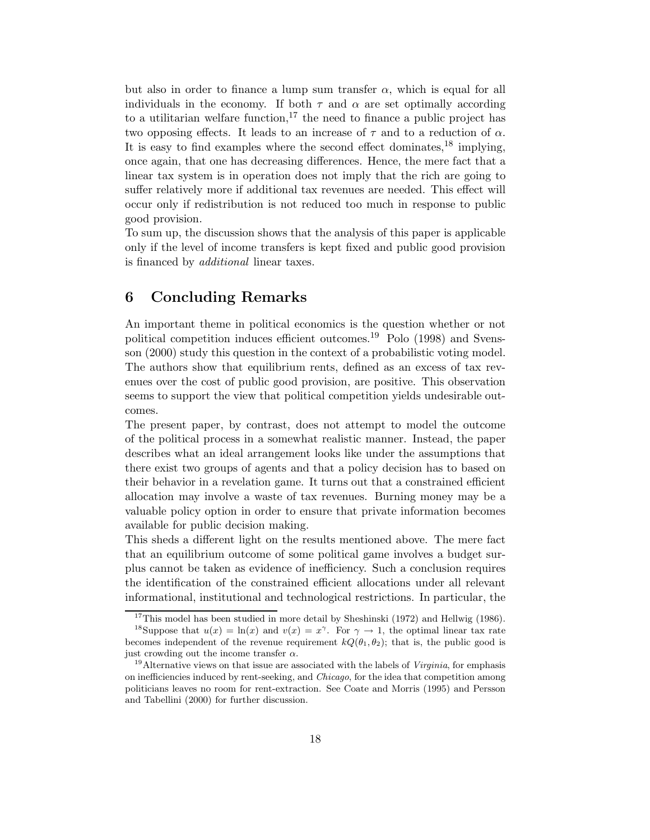but also in order to finance a lump sum transfer  $\alpha$ , which is equal for all individuals in the economy. If both  $\tau$  and  $\alpha$  are set optimally according to a utilitarian welfare function,  $17$  the need to finance a public project has two opposing effects. It leads to an increase of  $\tau$  and to a reduction of  $\alpha$ . It is easy to find examples where the second effect dominates,  $^{18}$  implying, once again, that one has decreasing differences. Hence, the mere fact that a linear tax system is in operation does not imply that the rich are going to suffer relatively more if additional tax revenues are needed. This effect will occur only if redistribution is not reduced too much in response to public good provision.

To sum up, the discussion shows that the analysis of this paper is applicable only if the level of income transfers is kept fixed and public good provision is financed by additional linear taxes.

## 6 Concluding Remarks

An important theme in political economics is the question whether or not political competition induces efficient outcomes.<sup>19</sup> Polo (1998) and Svensson (2000) study this question in the context of a probabilistic voting model. The authors show that equilibrium rents, defined as an excess of tax revenues over the cost of public good provision, are positive. This observation seems to support the view that political competition yields undesirable outcomes.

The present paper, by contrast, does not attempt to model the outcome of the political process in a somewhat realistic manner. Instead, the paper describes what an ideal arrangement looks like under the assumptions that there exist two groups of agents and that a policy decision has to based on their behavior in a revelation game. It turns out that a constrained efficient allocation may involve a waste of tax revenues. Burning money may be a valuable policy option in order to ensure that private information becomes available for public decision making.

This sheds a different light on the results mentioned above. The mere fact that an equilibrium outcome of some political game involves a budget surplus cannot be taken as evidence of inefficiency. Such a conclusion requires the identification of the constrained efficient allocations under all relevant informational, institutional and technological restrictions. In particular, the

 $\frac{17}{17}$ This model has been studied in more detail by Sheshinski (1972) and Hellwig (1986). <sup>18</sup>Suppose that  $u(x) = \ln(x)$  and  $v(x) = x^{\gamma}$ . For  $\gamma \to 1$ , the optimal linear tax rate becomes independent of the revenue requirement  $kQ(\theta_1, \theta_2)$ ; that is, the public good is just crowding out the income transfer  $\alpha$ .

 $19$ Alternative views on that issue are associated with the labels of *Virginia*, for emphasis on inefficiencies induced by rent-seeking, and Chicago, for the idea that competition among politicians leaves no room for rent-extraction. See Coate and Morris (1995) and Persson and Tabellini (2000) for further discussion.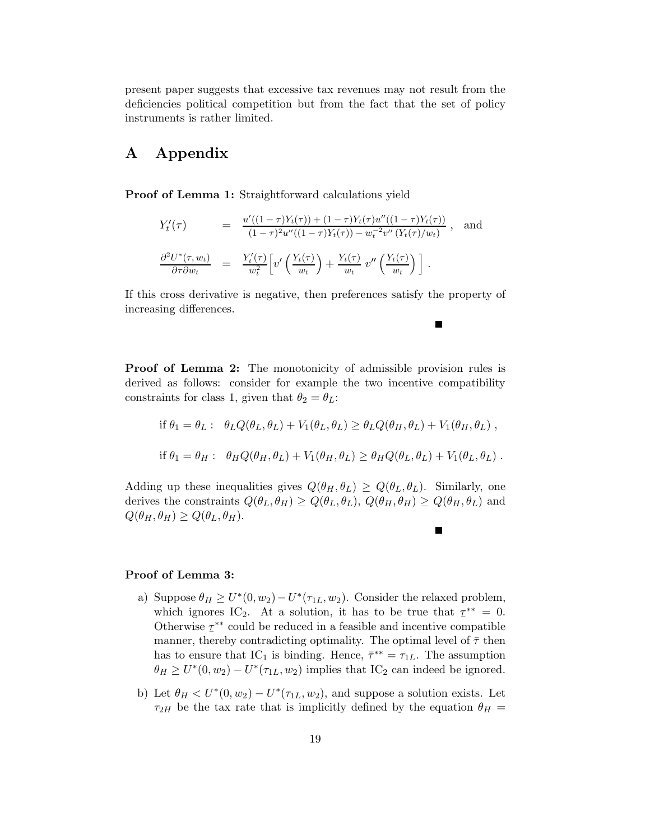present paper suggests that excessive tax revenues may not result from the deficiencies political competition but from the fact that the set of policy instruments is rather limited.

## A Appendix

Proof of Lemma 1: Straightforward calculations yield

$$
Y'_t(\tau) = \frac{u'((1-\tau)Y_t(\tau)) + (1-\tau)Y_t(\tau)u''((1-\tau)Y_t(\tau))}{(1-\tau)^2 u''((1-\tau)Y_t(\tau)) - w_t^{-2}v''(Y_t(\tau)/w_t)}, \text{ and}
$$

$$
\frac{\partial^2 U^*(\tau, w_t)}{\partial \tau \partial w_t} = \frac{Y'_t(\tau)}{w_t^2} \left[ v' \left( \frac{Y_t(\tau)}{w_t} \right) + \frac{Y_t(\tau)}{w_t} v'' \left( \frac{Y_t(\tau)}{w_t} \right) \right].
$$

If this cross derivative is negative, then preferences satisfy the property of increasing differences.

 $\blacksquare$ 

 $\blacksquare$ 

Proof of Lemma 2: The monotonicity of admissible provision rules is derived as follows: consider for example the two incentive compatibility constraints for class 1, given that  $\theta_2 = \theta_L$ :

if 
$$
\theta_1 = \theta_L
$$
:  $\theta_L Q(\theta_L, \theta_L) + V_1(\theta_L, \theta_L) \ge \theta_L Q(\theta_H, \theta_L) + V_1(\theta_H, \theta_L)$ ,  
if  $\theta_1 = \theta_H$ :  $\theta_H Q(\theta_H, \theta_L) + V_1(\theta_H, \theta_L) \ge \theta_H Q(\theta_L, \theta_L) + V_1(\theta_L, \theta_L)$ .

Adding up these inequalities gives  $Q(\theta_H, \theta_L) \geq Q(\theta_L, \theta_L)$ . Similarly, one derives the constraints  $Q(\theta_L, \theta_H) \geq Q(\theta_L, \theta_L), Q(\theta_H, \theta_H) \geq Q(\theta_H, \theta_L)$  and  $Q(\theta_H, \theta_H) \geq Q(\theta_L, \theta_H).$ 

#### Proof of Lemma 3:

- a) Suppose  $\theta_H \ge U^*(0, w_2) U^*(\tau_{1L}, w_2)$ . Consider the relaxed problem, which ignores IC<sub>2</sub>. At a solution, it has to be true that  $\tau^{**} = 0$ . Otherwise  $\tau^{**}$  could be reduced in a feasible and incentive compatible manner, thereby contradicting optimality. The optimal level of  $\bar{\tau}$  then has to ensure that IC<sub>1</sub> is binding. Hence,  $\bar{\tau}^{**} = \tau_{1L}$ . The assumption  $\theta_H \geq U^*(0, w_2) - U^*(\tau_{1L}, w_2)$  implies that IC<sub>2</sub> can indeed be ignored.
- b) Let  $\theta_H < U^*(0, w_2) U^*(\tau_{1L}, w_2)$ , and suppose a solution exists. Let  $\tau_{2H}$  be the tax rate that is implicitly defined by the equation  $\theta_H =$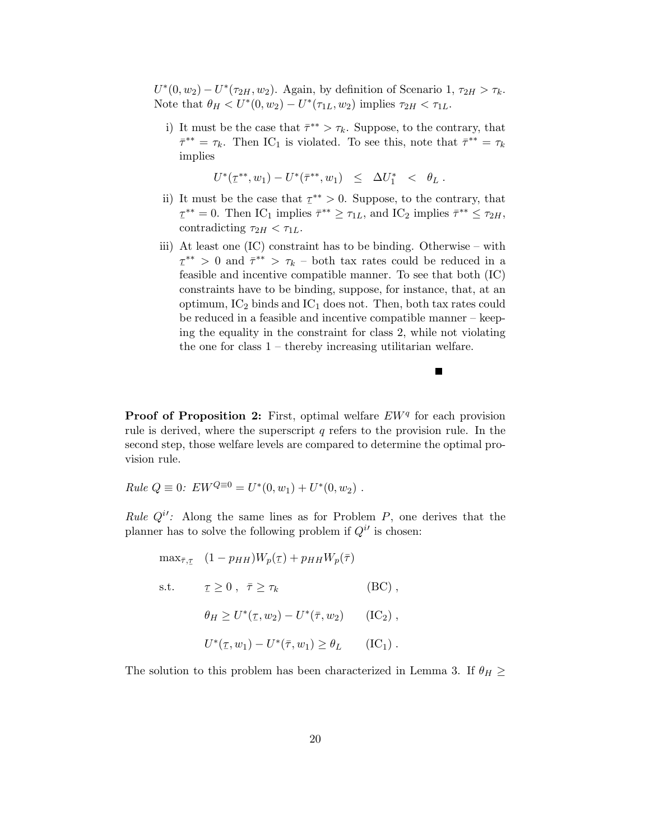$U^*(0, w_2) - U^*(\tau_{2H}, w_2)$ . Again, by definition of Scenario 1,  $\tau_{2H} > \tau_k$ . Note that  $\theta_H < U^*(0, w_2) - U^*(\tau_{1L}, w_2)$  implies  $\tau_{2H} < \tau_{1L}$ .

i) It must be the case that  $\bar{\tau}^{**} > \tau_k$ . Suppose, to the contrary, that  $\bar{\tau}^{**} = \tau_k$ . Then IC<sub>1</sub> is violated. To see this, note that  $\bar{\tau}^{**} = \tau_k$ implies

$$
U^*(\tau^{**}, w_1) - U^*(\bar{\tau}^{**}, w_1) \leq \Delta U_1^* < \theta_L.
$$

- ii) It must be the case that  $\tau^{**} > 0$ . Suppose, to the contrary, that  $\tau^{**} = 0$ . Then IC<sub>1</sub> implies  $\bar{\tau}^{**} \geq \tau_{1L}$ , and IC<sub>2</sub> implies  $\bar{\tau}^{**} \leq \tau_{2H}$ , contradicting  $\tau_{2H} < \tau_{1L}$ .
- iii) At least one (IC) constraint has to be binding. Otherwise with  $\tau^{**} > 0$  and  $\bar{\tau}^{**} > \tau_k$  – both tax rates could be reduced in a feasible and incentive compatible manner. To see that both  $(IC)$ constraints have to be binding, suppose, for instance, that, at an optimum,  $IC_2$  binds and  $IC_1$  does not. Then, both tax rates could be reduced in a feasible and incentive compatible manner – keeping the equality in the constraint for class 2, while not violating the one for class 1 – thereby increasing utilitarian welfare.

■

**Proof of Proposition 2:** First, optimal welfare  $EW<sup>q</sup>$  for each provision rule is derived, where the superscript  $q$  refers to the provision rule. In the second step, those welfare levels are compared to determine the optimal provision rule.

*Rule* 
$$
Q \equiv 0
$$
:  $EW^{Q=0} = U^*(0, w_1) + U^*(0, w_2)$ .

Rule  $Q^{i'}$ : Along the same lines as for Problem P, one derives that the planner has to solve the following problem if  $Q^{i'}$  is chosen:

$$
\max_{\bar{\tau}, \tau} (1 - p_{HH}) W_p(\tau) + p_{HH} W_p(\bar{\tau})
$$
  
s.t.  $\tau \ge 0$ ,  $\bar{\tau} \ge \tau_k$  (BC),  
 $\theta_H \ge U^*(\tau, w_2) - U^*(\bar{\tau}, w_2)$  (IC<sub>2</sub>),  
 $U^*(\tau, w_1) - U^*(\bar{\tau}, w_1) \ge \theta_L$  (IC<sub>1</sub>).

The solution to this problem has been characterized in Lemma 3. If  $\theta_H \ge$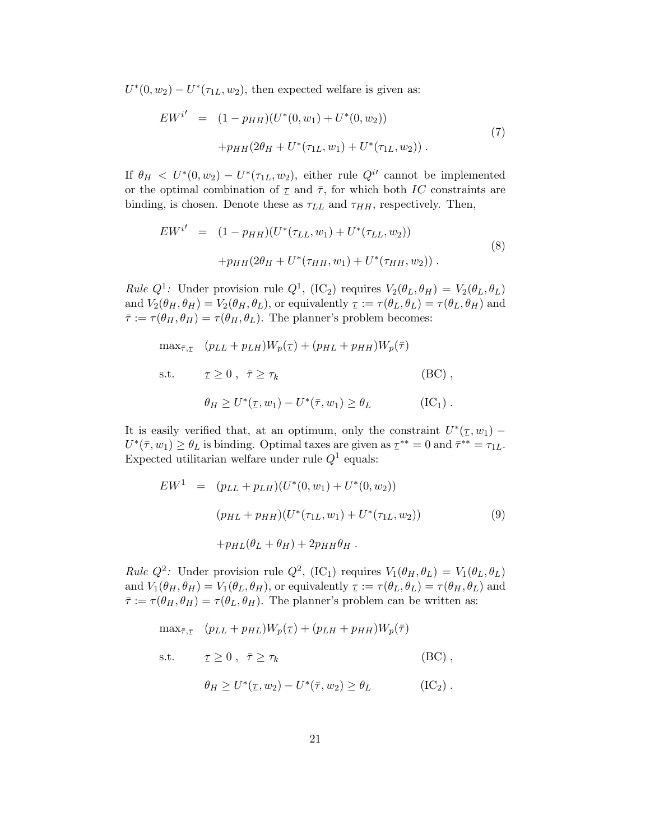$U^*(0, w_2) - U^*(\tau_{1L}, w_2)$ , then expected welfare is given as:

$$
EW^{i'} = (1 - p_{HH})(U^*(0, w_1) + U^*(0, w_2))
$$
  
+
$$
p_{HH}(2\theta_H + U^*(\tau_{1L}, w_1) + U^*(\tau_{1L}, w_2)).
$$
\n(7)

If  $\theta_H \, \langle U^*(0, w_2) - U^*(\tau_{1L}, w_2) \rangle$ , either rule  $Q^{i'}$  cannot be implemented or the optimal combination of  $\tau$  and  $\bar{\tau}$ , for which both IC constraints are binding, is chosen. Denote these as  $\tau_{LL}$  and  $\tau_{HH}$ , respectively. Then,

$$
EW^{i'} = (1 - p_{HH})(U^*(\tau_{LL}, w_1) + U^*(\tau_{LL}, w_2))
$$
  
+ $p_{HH}(2\theta_H + U^*(\tau_{HH}, w_1) + U^*(\tau_{HH}, w_2)).$  (8)

*Rule Q*<sup>1</sup>: Under provision rule  $Q^1$ , (IC<sub>2</sub>) requires  $V_2(\theta_L, \theta_H) = V_2(\theta_L, \theta_L)$ and  $V_2(\theta_H, \theta_H) = V_2(\theta_H, \theta_L)$ , or equivalently  $\tau := \tau(\theta_L, \theta_L) = \tau(\theta_L, \theta_H)$  and  $\bar{\tau} := \tau(\theta_H, \theta_H) = \tau(\theta_H, \theta_L)$ . The planner's problem becomes:

$$
\max_{\bar{\tau}, \tau} (p_{LL} + p_{LH})W_p(\tau) + (p_{HL} + p_{HH})W_p(\bar{\tau})
$$
  
s.t.  $\tau \ge 0$ ,  $\bar{\tau} \ge \tau_k$  (BC),  
 $\theta_H \ge U^*(\tau, w_1) - U^*(\bar{\tau}, w_1) \ge \theta_L$  (IC<sub>1</sub>).

It is easily verified that, at an optimum, only the constraint  $U^*(\tau,w_1)$  –  $U^*(\bar{\tau}, w_1) \geq \theta_L$  is binding. Optimal taxes are given as  $\tau^{**} = 0$  and  $\bar{\tau}^{**} = \tau_{1L}$ .<br>Functed utilitarian welfare under rule  $\Omega^1$  caush: Expected utilitarian welfare under rule  $Q^1$  equals:

$$
EW1 = (p_{LL} + p_{LH})(U*(0, w1) + U*(0, w2))
$$
  
\n
$$
(p_{HL} + p_{HH})(U*(\tau1L, w1) + U*(\tau1L, w2))
$$
  
\n
$$
+ p_{HL}(\theta_L + \theta_H) + 2p_{HH}\theta_H.
$$
\n(9)

*Rule Q*<sup>2</sup>: Under provision rule  $Q^2$ , (IC<sub>1</sub>) requires  $V_1(\theta_H, \theta_L) = V_1(\theta_L, \theta_L)$ and  $V_1(\theta_H, \theta_H) = V_1(\theta_L, \theta_H)$ , or equivalently  $\tau := \tau(\theta_L, \theta_L) = \tau(\theta_H, \theta_L)$  and  $\bar{\tau} := \tau(\theta_H, \theta_H) = \tau(\theta_L, \theta_H)$ . The planner's problem can be written as:

$$
\max_{\bar{\tau}, \tau} (p_{LL} + p_{HL}) W_p(\tau) + (p_{LH} + p_{HH}) W_p(\bar{\tau})
$$
  
s.t.  $\tau \ge 0$ ,  $\bar{\tau} \ge \tau_k$  (BC),  
 $\theta_H \ge U^*(\tau, w_2) - U^*(\bar{\tau}, w_2) \ge \theta_L$  (IC<sub>2</sub>).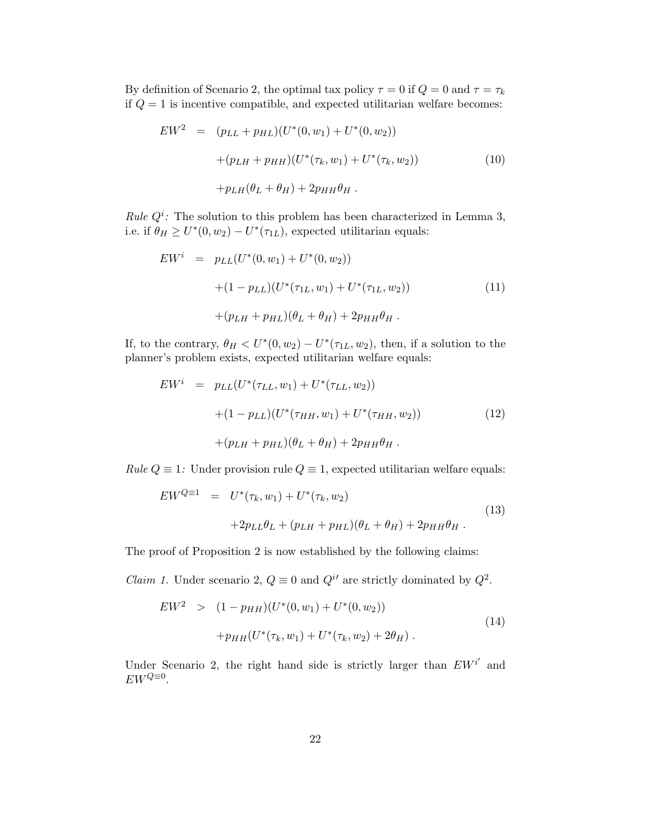By definition of Scenario 2, the optimal tax policy  $\tau = 0$  if  $Q = 0$  and  $\tau = \tau_k$ if  $Q = 1$  is incentive compatible, and expected utilitarian welfare becomes:

$$
EW^{2} = (p_{LL} + p_{HL})(U^{*}(0, w_{1}) + U^{*}(0, w_{2}))
$$
  
+
$$
(p_{LH} + p_{HH})(U^{*}(\tau_{k}, w_{1}) + U^{*}(\tau_{k}, w_{2}))
$$
  
+
$$
p_{LH}(\theta_{L} + \theta_{H}) + 2p_{HH}\theta_{H}.
$$
 (10)

Rule  $Q<sup>i</sup>$ : The solution to this problem has been characterized in Lemma 3, i.e. if  $\theta_H \geq U^*(0, w_2) - U^*(\tau_{1L})$ , expected utilitarian equals:

$$
EW^{i} = p_{LL}(U^{*}(0, w_{1}) + U^{*}(0, w_{2}))
$$
  
+(1 - p\_{LL})(U^{\*}(\tau\_{1L}, w\_{1}) + U^{\*}(\tau\_{1L}, w\_{2}))  
+(p\_{LH} + p\_{HL})(\theta\_{L} + \theta\_{H}) + 2p\_{HH}\theta\_{H}. (11)

If, to the contrary,  $\theta_H < U^*(0, w_2) - U^*(\tau_{1L}, w_2)$ , then, if a solution to the planner's problem exists, expected utilitarian welfare equals:

$$
EW^{i} = p_{LL}(U^{*}(\tau_{LL}, w_{1}) + U^{*}(\tau_{LL}, w_{2}))
$$
  
 
$$
+ (1 - p_{LL})(U^{*}(\tau_{HH}, w_{1}) + U^{*}(\tau_{HH}, w_{2}))
$$
  
 
$$
+ (p_{LH} + p_{HL})(\theta_{L} + \theta_{H}) + 2p_{HH}\theta_{H}.
$$
 (12)

Rule  $Q \equiv 1$ : Under provision rule  $Q \equiv 1$ , expected utilitarian welfare equals:

$$
EW^{Q=1} = U^*(\tau_k, w_1) + U^*(\tau_k, w_2)
$$
  
+2 $p_{LL}\theta_L + (p_{LH} + p_{HL})(\theta_L + \theta_H) + 2p_{HH}\theta_H$ . (13)

The proof of Proposition 2 is now established by the following claims:

*Claim 1.* Under scenario 2,  $Q \equiv 0$  and  $Q^{i'}$  are strictly dominated by  $Q^2$ .

$$
EW2 > (1 - pHH)(U*(0, w1) + U*(0, w2)) + pHH(U*(\tauk, w1) + U*(\tauk, w2) + 2\thetaH).
$$
\n(14)

Under Scenario 2, the right hand side is strictly larger than  $EW^{i'}$  and  $EW^{Q \equiv 0}$ .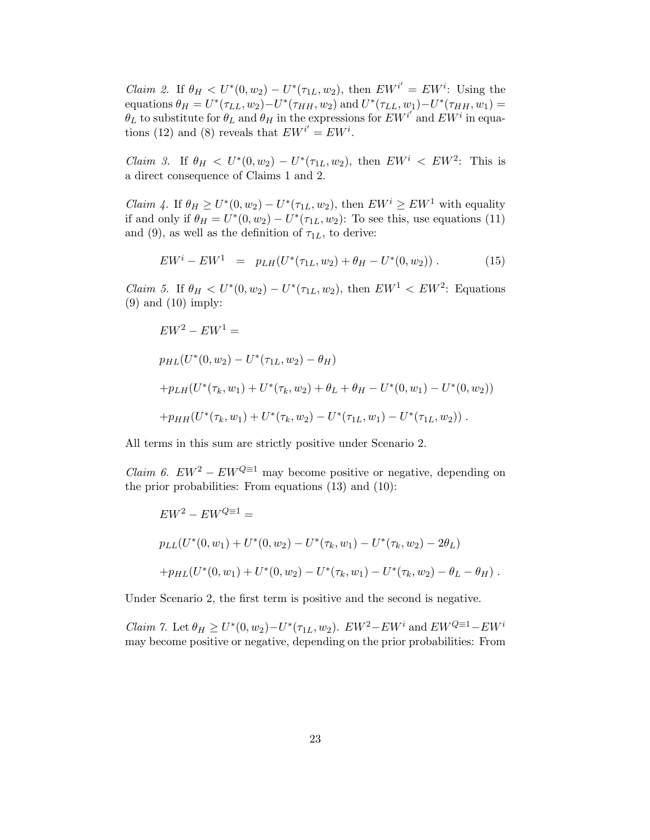*Claim 2.* If  $\theta_H < U^*(0, w_2) - U^*(\tau_{1L}, w_2)$ , then  $EW^{i'} = EW^{i}$ : Using the equations  $\theta_H = U^*(\tau_{LL}, w_2) - U^*(\tau_{HH}, w_2)$  and  $U^*(\tau_{LL}, w_1) - U^*(\tau_{HH}, w_1) =$  $\theta_L$  to substitute for  $\theta_L$  and  $\theta_H$  in the expressions for  $EW^{i'}$  and  $EW^{i}$  in equations (12) and (8) reveals that  $EW^{i'} = EW^i$ .

*Claim 3.* If  $\theta_H < U^*(0, w_2) - U^*(\tau_{1L}, w_2)$ , then  $EW^i < EW^2$ : This is a direct consequence of Claims 1 and 2.

*Claim 4*. If  $\theta_H \ge U^*(0, w_2) - U^*(\tau_{1L}, w_2)$ , then  $EW^i \ge EW^1$  with equality if and only if  $\theta_H = U^*(0, w_2) - U^*(\tau_{1L}, w_2)$ : To see this, use equations (11) and (9), as well as the definition of  $\tau_{1L}$ , to derive:

$$
EWi - EW1 = pLH(U*(\tau1L, w2) + \thetaH - U*(0, w2)). \t(15)
$$

*Claim 5.* If  $\theta_H < U^*(0, w_2) - U^*(\tau_{1L}, w_2)$ , then  $EW^1 < EW^2$ : Equations (9) and (10) imply:

$$
EW^2 - EW^1 =
$$
  
\n
$$
p_{HL}(U^*(0, w_2) - U^*(\tau_{1L}, w_2) - \theta_H)
$$
  
\n
$$
+ p_{LH}(U^*(\tau_k, w_1) + U^*(\tau_k, w_2) + \theta_L + \theta_H - U^*(0, w_1) - U^*(0, w_2))
$$
  
\n
$$
+ p_{HH}(U^*(\tau_k, w_1) + U^*(\tau_k, w_2) - U^*(\tau_{1L}, w_1) - U^*(\tau_{1L}, w_2)).
$$

All terms in this sum are strictly positive under Scenario 2.

*Claim 6.*  $EW^2 - EW^{Q=1}$  may become positive or negative, depending on the prior probabilities: From equations (13) and (10):

$$
EW^2 - EW^{Q=1} =
$$
  
\n
$$
p_{LL}(U^*(0, w_1) + U^*(0, w_2) - U^*(\tau_k, w_1) - U^*(\tau_k, w_2) - 2\theta_L)
$$
  
\n
$$
+ p_{HL}(U^*(0, w_1) + U^*(0, w_2) - U^*(\tau_k, w_1) - U^*(\tau_k, w_2) - \theta_L - \theta_H).
$$

Under Scenario 2, the first term is positive and the second is negative.

*Claim 7.* Let  $\theta_H \ge U^*(0, w_2) - U^*(\tau_{1L}, w_2)$ .  $EW^2 - EW^i$  and  $EW^{Q=1} - EW^i$ may become positive or negative, depending on the prior probabilities: From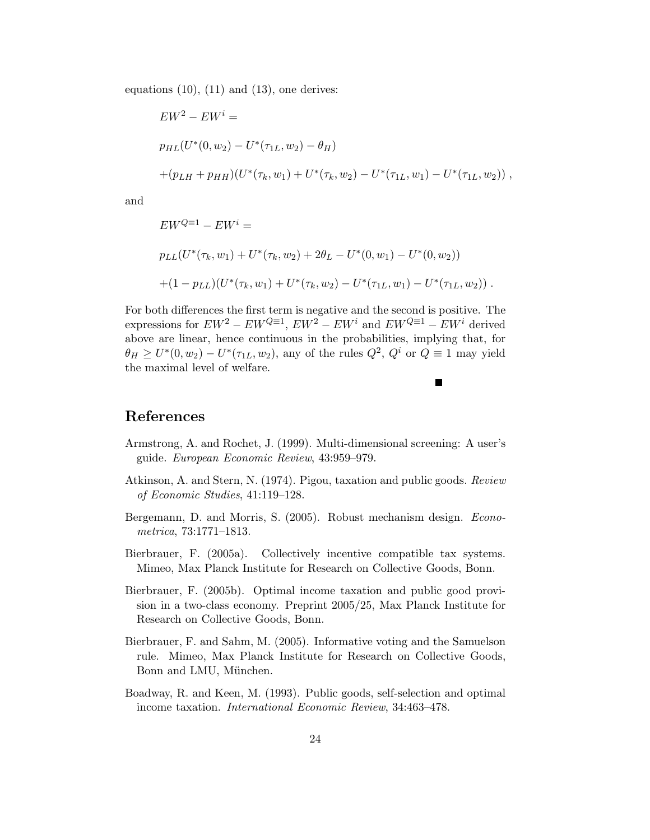equations  $(10)$ ,  $(11)$  and  $(13)$ , one derives:

$$
EW^2 - EW^i =
$$
  
\n
$$
p_{HL}(U^*(0, w_2) - U^*(\tau_{1L}, w_2) - \theta_H)
$$
  
\n
$$
+ (p_{LH} + p_{HH})(U^*(\tau_k, w_1) + U^*(\tau_k, w_2) - U^*(\tau_{1L}, w_1) - U^*(\tau_{1L}, w_2)),
$$

and

$$
EW^{Q=1} - EW^{i} =
$$
  
\n
$$
p_{LL}(U^*(\tau_k, w_1) + U^*(\tau_k, w_2) + 2\theta_L - U^*(0, w_1) - U^*(0, w_2))
$$
  
\n
$$
+ (1 - p_{LL})(U^*(\tau_k, w_1) + U^*(\tau_k, w_2) - U^*(\tau_{1L}, w_1) - U^*(\tau_{1L}, w_2)).
$$

For both differences the first term is negative and the second is positive. The expressions for  $EW^2 - EW^{Q=1}$ ,  $EW^2 - EW^i$  and  $EW^{Q=1} - EW^i$  derived above are linear, hence continuous in the probabilities, implying that, for  $\theta_H \geq U^*(0, w_2) - U^*(\tau_{1L}, w_2)$ , any of the rules  $Q^2$ ,  $Q^i$  or  $Q \equiv 1$  may yield the maximal level of welfare.

 $\blacksquare$ 

# References

- Armstrong, A. and Rochet, J. (1999). Multi-dimensional screening: A user's guide. European Economic Review, 43:959–979.
- Atkinson, A. and Stern, N. (1974). Pigou, taxation and public goods. Review of Economic Studies, 41:119–128.
- Bergemann, D. and Morris, S. (2005). Robust mechanism design. Econometrica, 73:1771–1813.
- Bierbrauer, F. (2005a). Collectively incentive compatible tax systems. Mimeo, Max Planck Institute for Research on Collective Goods, Bonn.
- Bierbrauer, F. (2005b). Optimal income taxation and public good provision in a two-class economy. Preprint 2005/25, Max Planck Institute for Research on Collective Goods, Bonn.
- Bierbrauer, F. and Sahm, M. (2005). Informative voting and the Samuelson rule. Mimeo, Max Planck Institute for Research on Collective Goods, Bonn and LMU, München.
- Boadway, R. and Keen, M. (1993). Public goods, self-selection and optimal income taxation. International Economic Review, 34:463–478.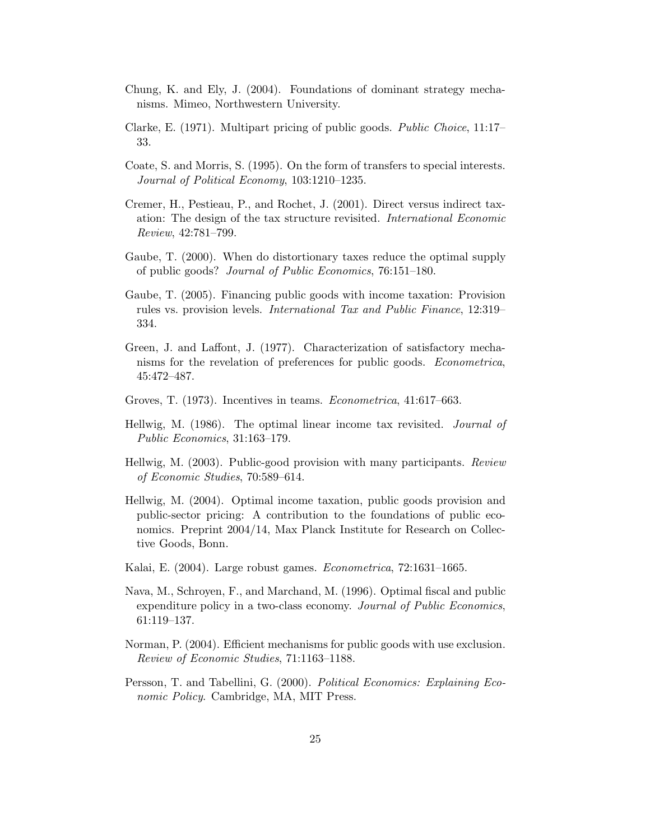- Chung, K. and Ely, J. (2004). Foundations of dominant strategy mechanisms. Mimeo, Northwestern University.
- Clarke, E. (1971). Multipart pricing of public goods. *Public Choice*, 11:17– 33.
- Coate, S. and Morris, S. (1995). On the form of transfers to special interests. Journal of Political Economy, 103:1210–1235.
- Cremer, H., Pestieau, P., and Rochet, J. (2001). Direct versus indirect taxation: The design of the tax structure revisited. International Economic Review, 42:781–799.
- Gaube, T. (2000). When do distortionary taxes reduce the optimal supply of public goods? Journal of Public Economics, 76:151–180.
- Gaube, T. (2005). Financing public goods with income taxation: Provision rules vs. provision levels. International Tax and Public Finance, 12:319– 334.
- Green, J. and Laffont, J. (1977). Characterization of satisfactory mechanisms for the revelation of preferences for public goods. Econometrica, 45:472–487.
- Groves, T. (1973). Incentives in teams. Econometrica, 41:617–663.
- Hellwig, M. (1986). The optimal linear income tax revisited. Journal of Public Economics, 31:163–179.
- Hellwig, M. (2003). Public-good provision with many participants. Review of Economic Studies, 70:589–614.
- Hellwig, M. (2004). Optimal income taxation, public goods provision and public-sector pricing: A contribution to the foundations of public economics. Preprint 2004/14, Max Planck Institute for Research on Collective Goods, Bonn.
- Kalai, E. (2004). Large robust games. Econometrica, 72:1631–1665.
- Nava, M., Schroyen, F., and Marchand, M. (1996). Optimal fiscal and public expenditure policy in a two-class economy. Journal of Public Economics, 61:119–137.
- Norman, P. (2004). Efficient mechanisms for public goods with use exclusion. Review of Economic Studies, 71:1163–1188.
- Persson, T. and Tabellini, G. (2000). Political Economics: Explaining Economic Policy. Cambridge, MA, MIT Press.